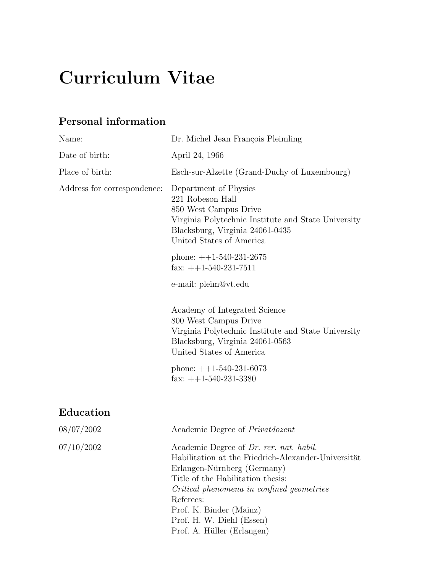# Curriculum Vitae

## Personal information

| Name:                       | Dr. Michel Jean François Pleimling                                                                                                                                                                                                                      |
|-----------------------------|---------------------------------------------------------------------------------------------------------------------------------------------------------------------------------------------------------------------------------------------------------|
| Date of birth:              | April 24, 1966                                                                                                                                                                                                                                          |
| Place of birth:             | Esch-sur-Alzette (Grand-Duchy of Luxembourg)                                                                                                                                                                                                            |
| Address for correspondence: | Department of Physics<br>221 Robeson Hall<br>850 West Campus Drive<br>Virginia Polytechnic Institute and State University<br>Blacksburg, Virginia 24061-0435<br>United States of America                                                                |
|                             | phone: $++1-540-231-2675$<br>fax: $++1-540-231-7511$                                                                                                                                                                                                    |
|                             | e-mail: pleim@vt.edu                                                                                                                                                                                                                                    |
|                             | Academy of Integrated Science<br>800 West Campus Drive<br>Virginia Polytechnic Institute and State University<br>Blacksburg, Virginia 24061-0563<br>United States of America                                                                            |
|                             | phone: $++1-540-231-6073$<br>fax: $++1-540-231-3380$                                                                                                                                                                                                    |
| Education                   |                                                                                                                                                                                                                                                         |
| 08/07/2002                  | Academic Degree of <i>Privatdozent</i>                                                                                                                                                                                                                  |
| 07/10/2002                  | Academic Degree of Dr. rer. nat. habil.<br>Habilitation at the Friedrich-Alexander-Universität<br>Erlangen-Nürnberg (Germany)<br>Title of the Habilitation thesis:<br>Critical phenomena in confined geometries<br>Referees:<br>Prof. K. Binder (Mainz) |

Prof. H. W. Diehl (Essen) Prof. A. Hüller (Erlangen)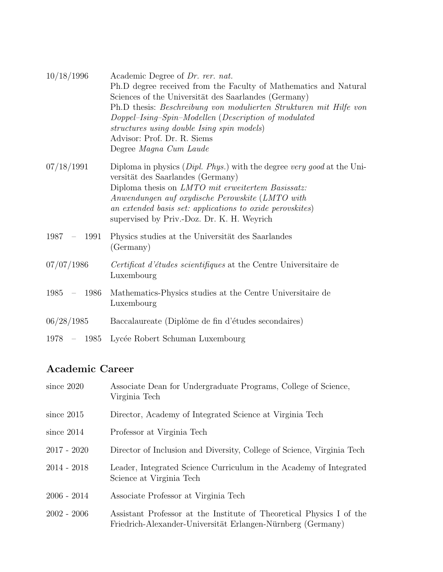| 10/18/1996               | Academic Degree of Dr. rer. nat.<br>Ph.D degree received from the Faculty of Mathematics and Natural<br>Sciences of the Universität des Saarlandes (Germany)<br>Ph.D thesis: Beschreibung von modulierten Strukturen mit Hilfe von<br>Doppel-Ising-Spin-Modellen (Description of modulated<br>structures using double Ising spin models)<br>Advisor: Prof. Dr. R. Siems<br>Degree Magna Cum Laude |
|--------------------------|---------------------------------------------------------------------------------------------------------------------------------------------------------------------------------------------------------------------------------------------------------------------------------------------------------------------------------------------------------------------------------------------------|
| 07/18/1991               | Diploma in physics $(Dipl. Phys.)$ with the degree very good at the Uni-<br>versität des Saarlandes (Germany)<br>Diploma thesis on LMTO mit erweitertem Basissatz:<br>Anwendungen auf oxydische Perowskite (LMTO with<br>an extended basis set: applications to oxide perovskites)<br>supervised by Priv.-Doz. Dr. K. H. Weyrich                                                                  |
| $1987 - 1991$            | Physics studies at the Universität des Saarlandes<br>(Germany)                                                                                                                                                                                                                                                                                                                                    |
| 07/07/1986               | Certificat d'études scientifiques at the Centre Universitaire de<br>Luxembourg                                                                                                                                                                                                                                                                                                                    |
| 1985<br>1986<br>$\equiv$ | Mathematics-Physics studies at the Centre Universitaire de<br>Luxembourg                                                                                                                                                                                                                                                                                                                          |
| 06/28/1985               | Baccalaureate (Diplôme de fin d'études secondaires)                                                                                                                                                                                                                                                                                                                                               |
| $1978 - 1985$            | Lycée Robert Schuman Luxembourg                                                                                                                                                                                                                                                                                                                                                                   |

## Academic Career

| since $2020$  | Associate Dean for Undergraduate Programs, College of Science,<br>Virginia Tech                                                     |
|---------------|-------------------------------------------------------------------------------------------------------------------------------------|
| since $2015$  | Director, Academy of Integrated Science at Virginia Tech                                                                            |
| since $2014$  | Professor at Virginia Tech                                                                                                          |
| $2017 - 2020$ | Director of Inclusion and Diversity, College of Science, Virginia Tech                                                              |
| $2014 - 2018$ | Leader, Integrated Science Curriculum in the Academy of Integrated<br>Science at Virginia Tech                                      |
| $2006 - 2014$ | Associate Professor at Virginia Tech                                                                                                |
| $2002 - 2006$ | Assistant Professor at the Institute of Theoretical Physics I of the<br>Friedrich-Alexander-Universität Erlangen-Nürnberg (Germany) |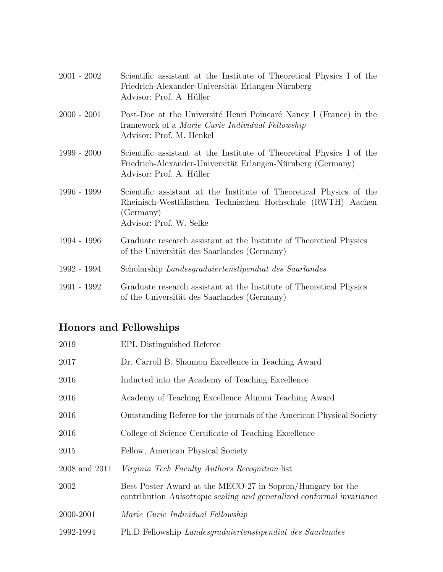| $2001 - 2002$ | Scientific assistant at the Institute of Theoretical Physics I of the<br>Friedrich-Alexander-Universität Erlangen-Nürnberg<br>Advisor: Prof. A. Hüller                      |
|---------------|-----------------------------------------------------------------------------------------------------------------------------------------------------------------------------|
| $2000 - 2001$ | Post-Doc at the Université Henri Poincaré Nancy I (France) in the<br>framework of a Marie Curie Individual Fellowship<br>Advisor: Prof. M. Henkel                           |
| $1999 - 2000$ | Scientific assistant at the Institute of Theoretical Physics I of the<br>Friedrich-Alexander-Universität Erlangen-Nürnberg (Germany)<br>Advisor: Prof. A. Hüller            |
| 1996 - 1999   | Scientific assistant at the Institute of Theoretical Physics of the<br>Rheinisch-Westfälischen Technischen Hochschule (RWTH) Aachen<br>(Germany)<br>Advisor: Prof. W. Selke |
| 1994 - 1996   | Graduate research assistant at the Institute of Theoretical Physics<br>of the Universität des Saarlandes (Germany)                                                          |
| 1992 - 1994   | Scholarship Landesgraduiertenstipendiat des Saarlandes                                                                                                                      |
| 1991 - 1992   | Graduate research assistant at the Institute of Theoretical Physics<br>of the Universität des Saarlandes (Germany)                                                          |

## Honors and Fellowships

| 2019          | EPL Distinguished Referee                                                                                                           |
|---------------|-------------------------------------------------------------------------------------------------------------------------------------|
| 2017          | Dr. Carroll B. Shannon Excellence in Teaching Award                                                                                 |
| 2016          | Inducted into the Academy of Teaching Excellence                                                                                    |
| 2016          | Academy of Teaching Excellence Alumni Teaching Award                                                                                |
| 2016          | Outstanding Referee for the journals of the American Physical Society                                                               |
| 2016          | College of Science Certificate of Teaching Excellence                                                                               |
| 2015          | Fellow, American Physical Society                                                                                                   |
| 2008 and 2011 | <i>Virginia Tech Faculty Authors Recognition</i> list                                                                               |
| 2002          | Best Poster Award at the MECO-27 in Sopron/Hungary for the<br>contribution Anisotropic scaling and generalized conformal invariance |
| 2000-2001     | Marie Curie Individual Fellowship                                                                                                   |
| 1992-1994     | Ph.D Fellowship Landesquaduiertenstipendiat des Saarlandes                                                                          |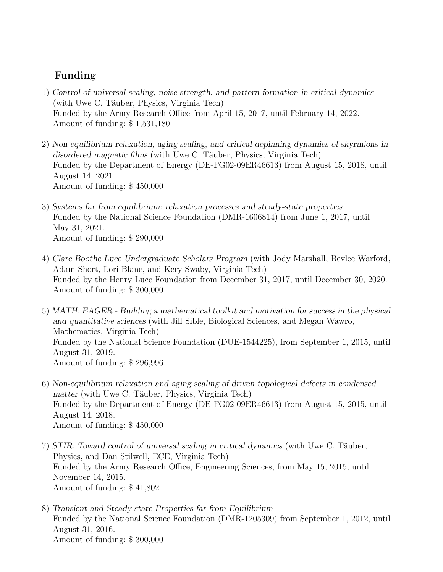### Funding

- 1) Control of universal scaling, noise strength, and pattern formation in critical dynamics (with Uwe C. Täuber, Physics, Virginia Tech) Funded by the Army Research Office from April 15, 2017, until February 14, 2022. Amount of funding: \$ 1,531,180
- 2) Non-equilibrium relaxation, aging scaling, and critical depinning dynamics of skyrmions in disordered magnetic films (with Uwe C. Täuber, Physics, Virginia Tech) Funded by the Department of Energy (DE-FG02-09ER46613) from August 15, 2018, until August 14, 2021. Amount of funding: \$ 450,000
- 3) Systems far from equilibrium: relaxation processes and steady-state properties Funded by the National Science Foundation (DMR-1606814) from June 1, 2017, until May 31, 2021. Amount of funding: \$ 290,000
- 4) Clare Boothe Luce Undergraduate Scholars Program (with Jody Marshall, Bevlee Warford, Adam Short, Lori Blanc, and Kery Swaby, Virginia Tech) Funded by the Henry Luce Foundation from December 31, 2017, until December 30, 2020. Amount of funding: \$ 300,000
- 5) MATH: EAGER Building a mathematical toolkit and motivation for success in the physical and quantitative sciences (with Jill Sible, Biological Sciences, and Megan Wawro, Mathematics, Virginia Tech) Funded by the National Science Foundation (DUE-1544225), from September 1, 2015, until August 31, 2019. Amount of funding: \$ 296,996
- 6) Non-equilibrium relaxation and aging scaling of driven topological defects in condensed matter (with Uwe C. Täuber, Physics, Virginia Tech) Funded by the Department of Energy (DE-FG02-09ER46613) from August 15, 2015, until August 14, 2018. Amount of funding: \$ 450,000
- 7) STIR: Toward control of universal scaling in critical dynamics (with Uwe C. Täuber, Physics, and Dan Stilwell, ECE, Virginia Tech) Funded by the Army Research Office, Engineering Sciences, from May 15, 2015, until November 14, 2015. Amount of funding: \$ 41,802
- 8) Transient and Steady-state Properties far from Equilibrium Funded by the National Science Foundation (DMR-1205309) from September 1, 2012, until August 31, 2016. Amount of funding: \$ 300,000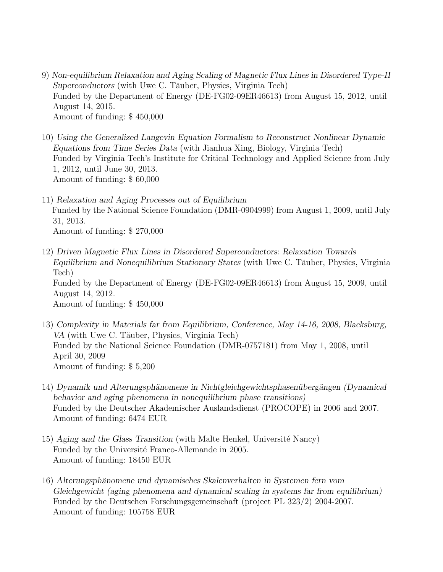- 9) Non-equilibrium Relaxation and Aging Scaling of Magnetic Flux Lines in Disordered Type-II Superconductors (with Uwe C. Täuber, Physics, Virginia Tech) Funded by the Department of Energy (DE-FG02-09ER46613) from August 15, 2012, until August 14, 2015. Amount of funding: \$ 450,000
- 10) Using the Generalized Langevin Equation Formalism to Reconstruct Nonlinear Dynamic Equations from Time Series Data (with Jianhua Xing, Biology, Virginia Tech) Funded by Virginia Tech's Institute for Critical Technology and Applied Science from July 1, 2012, until June 30, 2013. Amount of funding: \$ 60,000
- 11) Relaxation and Aging Processes out of Equilibrium Funded by the National Science Foundation (DMR-0904999) from August 1, 2009, until July 31, 2013. Amount of funding: \$ 270,000
- 12) Driven Magnetic Flux Lines in Disordered Superconductors: Relaxation Towards Equilibrium and Nonequilibrium Stationary States (with Uwe C. Täuber, Physics, Virginia Tech) Funded by the Department of Energy (DE-FG02-09ER46613) from August 15, 2009, until August 14, 2012. Amount of funding: \$ 450,000
- 13) Complexity in Materials far from Equilibrium, Conference, May 14-16, 2008, Blacksburg, VA (with Uwe C. Täuber, Physics, Virginia Tech) Funded by the National Science Foundation (DMR-0757181) from May 1, 2008, until April 30, 2009 Amount of funding: \$ 5,200
- 14) Dynamik und Alterungsphänomene in Nichtgleichgewichtsphasenübergängen (Dynamical behavior and aging phenomena in nonequilibrium phase transitions) Funded by the Deutscher Akademischer Auslandsdienst (PROCOPE) in 2006 and 2007. Amount of funding: 6474 EUR
- 15) Aging and the Glass Transition (with Malte Henkel, Université Nancy) Funded by the Université Franco-Allemande in 2005. Amount of funding: 18450 EUR
- 16) Alterungsphänomene und dynamisches Skalenverhalten in Systemen fern vom Gleichgewicht (aging phenomena and dynamical scaling in systems far from equilibrium) Funded by the Deutschen Forschungsgemeinschaft (project PL 323/2) 2004-2007. Amount of funding: 105758 EUR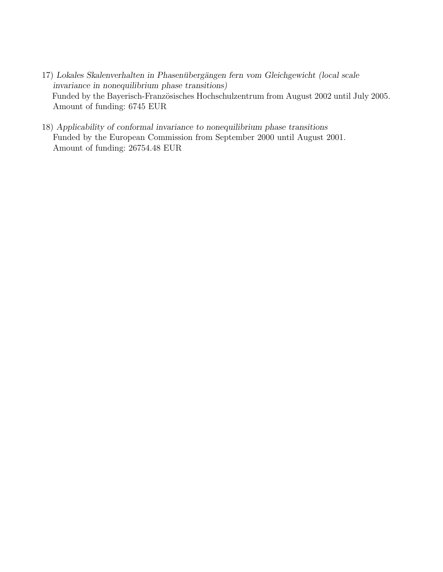- 17) Lokales Skalenverhalten in Phasenübergängen fern vom Gleichgewicht (local scale invariance in nonequilibrium phase transitions) Funded by the Bayerisch-Französisches Hochschulzentrum from August 2002 until July 2005. Amount of funding: 6745 EUR
- 18) Applicability of conformal invariance to nonequilibrium phase transitions Funded by the European Commission from September 2000 until August 2001. Amount of funding: 26754.48 EUR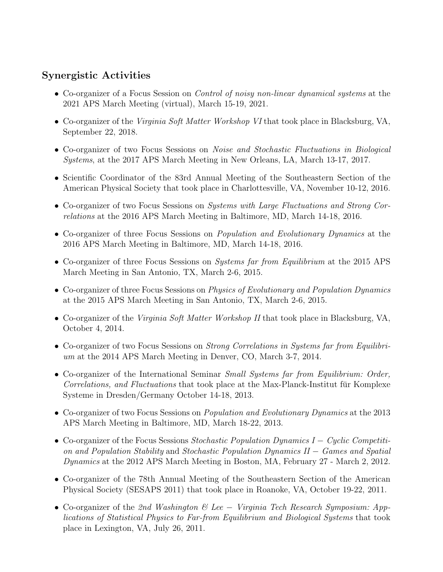### Synergistic Activities

- Co-organizer of a Focus Session on *Control of noisy non-linear dynamical systems* at the 2021 APS March Meeting (virtual), March 15-19, 2021.
- Co-organizer of the *Virginia Soft Matter Workshop VI* that took place in Blacksburg, VA, September 22, 2018.
- Co-organizer of two Focus Sessions on *Noise and Stochastic Fluctuations in Biological* Systems, at the 2017 APS March Meeting in New Orleans, LA, March 13-17, 2017.
- Scientific Coordinator of the 83rd Annual Meeting of the Southeastern Section of the American Physical Society that took place in Charlottesville, VA, November 10-12, 2016.
- Co-organizer of two Focus Sessions on Systems with Large Fluctuations and Strong Correlations at the 2016 APS March Meeting in Baltimore, MD, March 14-18, 2016.
- Co-organizer of three Focus Sessions on *Population and Evolutionary Dynamics* at the 2016 APS March Meeting in Baltimore, MD, March 14-18, 2016.
- Co-organizer of three Focus Sessions on Systems far from Equilibrium at the 2015 APS March Meeting in San Antonio, TX, March 2-6, 2015.
- Co-organizer of three Focus Sessions on *Physics of Evolutionary and Population Dynamics* at the 2015 APS March Meeting in San Antonio, TX, March 2-6, 2015.
- Co-organizer of the Virginia Soft Matter Workshop II that took place in Blacksburg, VA, October 4, 2014.
- Co-organizer of two Focus Sessions on *Strong Correlations in Systems far from Equilibri*um at the 2014 APS March Meeting in Denver, CO, March 3-7, 2014.
- Co-organizer of the International Seminar Small Systems far from Equilibrium: Order, Correlations, and Fluctuations that took place at the Max-Planck-Institut für Komplexe Systeme in Dresden/Germany October 14-18, 2013.
- Co-organizer of two Focus Sessions on *Population and Evolutionary Dynamics* at the 2013 APS March Meeting in Baltimore, MD, March 18-22, 2013.
- Co-organizer of the Focus Sessions Stochastic Population Dynamics I Cyclic Competition and Population Stability and Stochastic Population Dynamics II − Games and Spatial Dynamics at the 2012 APS March Meeting in Boston, MA, February 27 - March 2, 2012.
- Co-organizer of the 78th Annual Meeting of the Southeastern Section of the American Physical Society (SESAPS 2011) that took place in Roanoke, VA, October 19-22, 2011.
- Co-organizer of the 2nd Washington & Lee − Virginia Tech Research Symposium: Applications of Statistical Physics to Far-from Equilibrium and Biological Systems that took place in Lexington, VA, July 26, 2011.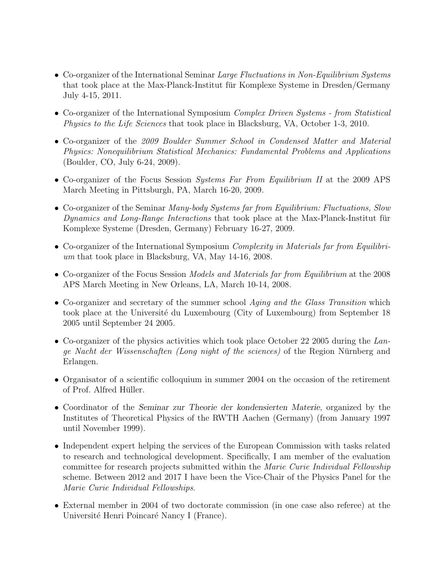- Co-organizer of the International Seminar Large Fluctuations in Non-Equilibrium Systems that took place at the Max-Planck-Institut für Komplexe Systeme in Dresden/Germany July 4-15, 2011.
- Co-organizer of the International Symposium *Complex Driven Systems from Statistical* Physics to the Life Sciences that took place in Blacksburg, VA, October 1-3, 2010.
- Co-organizer of the 2009 Boulder Summer School in Condensed Matter and Material Physics: Nonequilibrium Statistical Mechanics: Fundamental Problems and Applications (Boulder, CO, July 6-24, 2009).
- Co-organizer of the Focus Session Systems Far From Equilibrium II at the 2009 APS March Meeting in Pittsburgh, PA, March 16-20, 2009.
- Co-organizer of the Seminar *Many-body Systems far from Equilibrium: Fluctuations, Slow* Dynamics and Long-Range Interactions that took place at the Max-Planck-Institut fur Komplexe Systeme (Dresden, Germany) February 16-27, 2009.
- Co-organizer of the International Symposium Complexity in Materials far from Equilibrium that took place in Blacksburg, VA, May 14-16, 2008.
- Co-organizer of the Focus Session *Models and Materials far from Equilibrium* at the 2008 APS March Meeting in New Orleans, LA, March 10-14, 2008.
- Co-organizer and secretary of the summer school *Aging and the Glass Transition* which took place at the Université du Luxembourg (City of Luxembourg) from September 18 2005 until September 24 2005.
- Co-organizer of the physics activities which took place October 22 2005 during the Lange Nacht der Wissenschaften (Long night of the sciences) of the Region Nürnberg and Erlangen.
- Organisator of a scientific colloquium in summer 2004 on the occasion of the retirement of Prof. Alfred Hüller.
- Coordinator of the Seminar zur Theorie der kondensierten Materie, organized by the Institutes of Theoretical Physics of the RWTH Aachen (Germany) (from January 1997 until November 1999).
- Independent expert helping the services of the European Commission with tasks related to research and technological development. Specifically, I am member of the evaluation committee for research projects submitted within the Marie Curie Individual Fellowship scheme. Between 2012 and 2017 I have been the Vice-Chair of the Physics Panel for the Marie Curie Individual Fellowships.
- External member in 2004 of two doctorate commission (in one case also referee) at the Université Henri Poincaré Nancy I (France).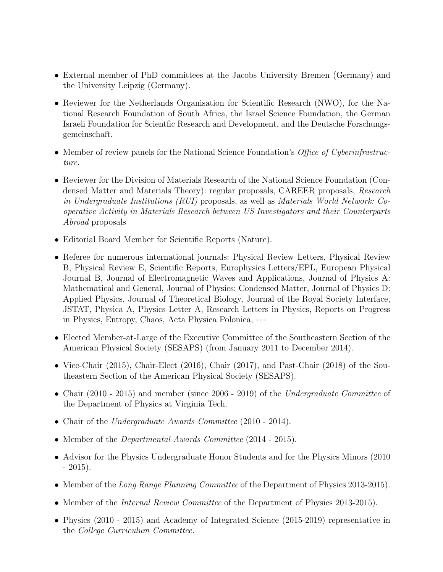- External member of PhD committees at the Jacobs University Bremen (Germany) and the University Leipzig (Germany).
- Reviewer for the Netherlands Organisation for Scientific Research (NWO), for the National Research Foundation of South Africa, the Israel Science Foundation, the German Israeli Foundation for Scientfic Research and Development, and the Deutsche Forschungsgemeinschaft.
- Member of review panels for the National Science Foundation's *Office of Cyberinfrastruc*ture.
- Reviewer for the Division of Materials Research of the National Science Foundation (Condensed Matter and Materials Theory): regular proposals, CAREER proposals, Research in Undergraduate Institutions (RUI) proposals, as well as Materials World Network: Cooperative Activity in Materials Research between US Investigators and their Counterparts Abroad proposals
- Editorial Board Member for Scientific Reports (Nature).
- Referee for numerous international journals: Physical Review Letters, Physical Review B, Physical Review E, Scientific Reports, Europhysics Letters/EPL, European Physical Journal B, Journal of Electromagnetic Waves and Applications, Journal of Physics A: Mathematical and General, Journal of Physics: Condensed Matter, Journal of Physics D: Applied Physics, Journal of Theoretical Biology, Journal of the Royal Society Interface, JSTAT, Physica A, Physics Letter A, Research Letters in Physics, Reports on Progress in Physics, Entropy, Chaos, Acta Physica Polonica, · · ·
- Elected Member-at-Large of the Executive Committee of the Southeastern Section of the American Physical Society (SESAPS) (from January 2011 to December 2014).
- Vice-Chair (2015), Chair-Elect (2016), Chair (2017), and Past-Chair (2018) of the Southeastern Section of the American Physical Society (SESAPS).
- Chair (2010 2015) and member (since 2006 2019) of the Undergraduate Committee of the Department of Physics at Virginia Tech.
- Chair of the Undergraduate Awards Committee (2010 2014).
- Member of the *Departmental Awards Committee* (2014 2015).
- Advisor for the Physics Undergraduate Honor Students and for the Physics Minors (2010)  $-2015$ ).
- Member of the Long Range Planning Committee of the Department of Physics 2013-2015).
- Member of the *Internal Review Committee* of the Department of Physics 2013-2015).
- Physics (2010 2015) and Academy of Integrated Science (2015-2019) representative in the College Curriculum Committee.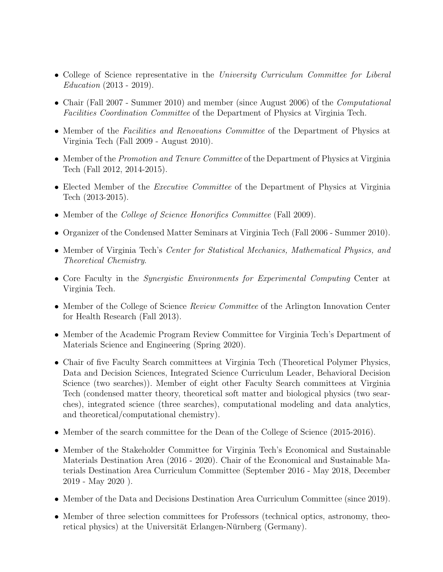- College of Science representative in the University Curriculum Committee for Liberal Education (2013 - 2019).
- Chair (Fall 2007 Summer 2010) and member (since August 2006) of the *Computational* Facilities Coordination Committee of the Department of Physics at Virginia Tech.
- Member of the Facilities and Renovations Committee of the Department of Physics at Virginia Tech (Fall 2009 - August 2010).
- Member of the *Promotion and Tenure Committee* of the Department of Physics at Virginia Tech (Fall 2012, 2014-2015).
- Elected Member of the *Executive Committee* of the Department of Physics at Virginia Tech (2013-2015).
- Member of the *College of Science Honorifics Committee* (Fall 2009).
- Organizer of the Condensed Matter Seminars at Virginia Tech (Fall 2006 Summer 2010).
- Member of Virginia Tech's Center for Statistical Mechanics, Mathematical Physics, and Theoretical Chemistry.
- Core Faculty in the *Synergistic Environments for Experimental Computing* Center at Virginia Tech.
- Member of the College of Science *Review Committee* of the Arlington Innovation Center for Health Research (Fall 2013).
- Member of the Academic Program Review Committee for Virginia Tech's Department of Materials Science and Engineering (Spring 2020).
- Chair of five Faculty Search committees at Virginia Tech (Theoretical Polymer Physics, Data and Decision Sciences, Integrated Science Curriculum Leader, Behavioral Decision Science (two searches)). Member of eight other Faculty Search committees at Virginia Tech (condensed matter theory, theoretical soft matter and biological physics (two searches), integrated science (three searches), computational modeling and data analytics, and theoretical/computational chemistry).
- Member of the search committee for the Dean of the College of Science (2015-2016).
- Member of the Stakeholder Committee for Virginia Tech's Economical and Sustainable Materials Destination Area (2016 - 2020). Chair of the Economical and Sustainable Materials Destination Area Curriculum Committee (September 2016 - May 2018, December 2019 - May 2020 ).
- Member of the Data and Decisions Destination Area Curriculum Committee (since 2019).
- Member of three selection committees for Professors (technical optics, astronomy, theoretical physics) at the Universität Erlangen-Nürnberg (Germany).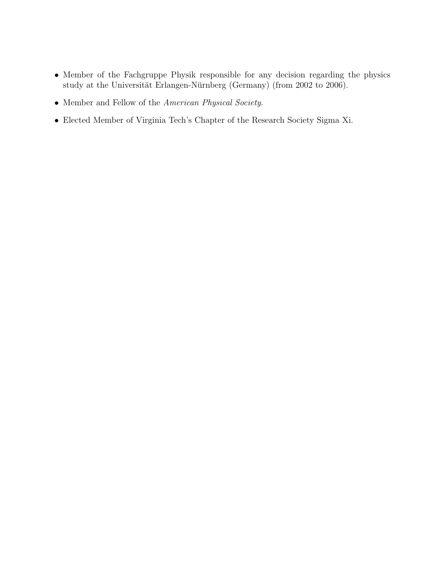- Member of the Fachgruppe Physik responsible for any decision regarding the physics study at the Universität Erlangen-Nürnberg (Germany) (from 2002 to 2006).
- Member and Fellow of the American Physical Society.
- Elected Member of Virginia Tech's Chapter of the Research Society Sigma Xi.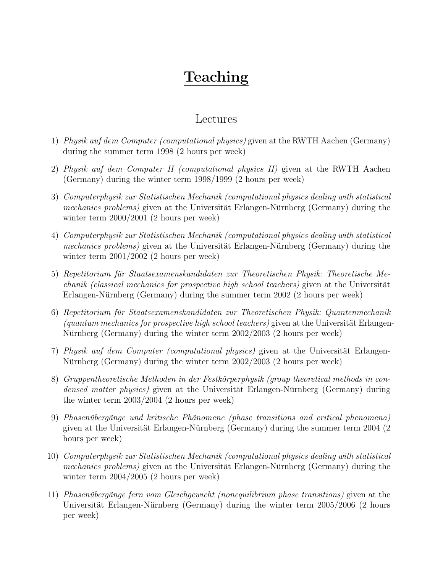## Teaching

### Lectures

- 1) Physik auf dem Computer (computational physics) given at the RWTH Aachen (Germany) during the summer term 1998 (2 hours per week)
- 2) Physik auf dem Computer II (computational physics II) given at the RWTH Aachen (Germany) during the winter term 1998/1999 (2 hours per week)
- 3) Computerphysik zur Statistischen Mechanik (computational physics dealing with statistical *mechanics problems*) given at the Universität Erlangen-Nürnberg (Germany) during the winter term 2000/2001 (2 hours per week)
- 4) Computerphysik zur Statistischen Mechanik (computational physics dealing with statistical mechanics problems) given at the Universität Erlangen-Nürnberg (Germany) during the winter term 2001/2002 (2 hours per week)
- 5) Repetitorium für Staatsexamenskandidaten zur Theoretischen Physik: Theoretische Me- $\mathit{chainik}$  (classical mechanics for prospective high school teachers) given at the Universität Erlangen-Nürnberg (Germany) during the summer term  $2002$  (2 hours per week)
- 6) Repetitorium fur Staatsexamenskandidaten zur Theoretischen Physik: Quantenmechanik ¨ (quantum mechanics for prospective high school teachers) given at the Universität Erlangen-Nürnberg (Germany) during the winter term  $2002/2003$  (2 hours per week)
- 7) Physik auf dem Computer (computational physics) given at the Universität Erlangen-Nürnberg (Germany) during the winter term  $2002/2003$  (2 hours per week)
- 8) Gruppentheoretische Methoden in der Festkörperphysik (group theoretical methods in condensed matter physics) given at the Universität Erlangen-Nürnberg (Germany) during the winter term 2003/2004 (2 hours per week)
- 9) Phasenübergänge und kritische Phänomene (phase transitions and critical phenomena) given at the Universität Erlangen-Nürnberg (Germany) during the summer term  $2004$  (2) hours per week)
- 10) Computerphysik zur Statistischen Mechanik (computational physics dealing with statistical *mechanics problems*) given at the Universität Erlangen-Nürnberg (Germany) during the winter term 2004/2005 (2 hours per week)
- 11) Phasenübergänge fern vom Gleichgewicht (nonequilibrium phase transitions) given at the Universität Erlangen-Nürnberg (Germany) during the winter term  $2005/2006$  (2 hours per week)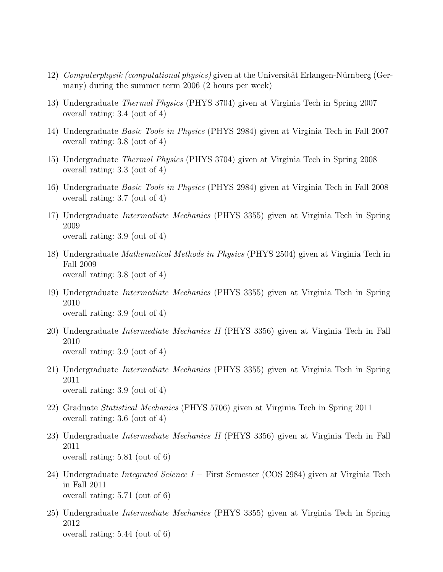- 12) Computerphysik (computational physics) given at the Universität Erlangen-Nürnberg (Germany) during the summer term 2006 (2 hours per week)
- 13) Undergraduate Thermal Physics (PHYS 3704) given at Virginia Tech in Spring 2007 overall rating: 3.4 (out of 4)
- 14) Undergraduate Basic Tools in Physics (PHYS 2984) given at Virginia Tech in Fall 2007 overall rating: 3.8 (out of 4)
- 15) Undergraduate Thermal Physics (PHYS 3704) given at Virginia Tech in Spring 2008 overall rating: 3.3 (out of 4)
- 16) Undergraduate Basic Tools in Physics (PHYS 2984) given at Virginia Tech in Fall 2008 overall rating: 3.7 (out of 4)
- 17) Undergraduate Intermediate Mechanics (PHYS 3355) given at Virginia Tech in Spring 2009 overall rating: 3.9 (out of 4)
- 18) Undergraduate Mathematical Methods in Physics (PHYS 2504) given at Virginia Tech in Fall 2009 overall rating: 3.8 (out of 4)
- 19) Undergraduate Intermediate Mechanics (PHYS 3355) given at Virginia Tech in Spring 2010 overall rating: 3.9 (out of 4)
- 20) Undergraduate Intermediate Mechanics II (PHYS 3356) given at Virginia Tech in Fall 2010 overall rating: 3.9 (out of 4)
- 21) Undergraduate Intermediate Mechanics (PHYS 3355) given at Virginia Tech in Spring 2011 overall rating: 3.9 (out of 4)
- 22) Graduate Statistical Mechanics (PHYS 5706) given at Virginia Tech in Spring 2011 overall rating: 3.6 (out of 4)
- 23) Undergraduate Intermediate Mechanics II (PHYS 3356) given at Virginia Tech in Fall 2011 overall rating: 5.81 (out of 6)
- 24) Undergraduate Integrated Science I − First Semester (COS 2984) given at Virginia Tech in Fall 2011 overall rating: 5.71 (out of 6)
- 25) Undergraduate Intermediate Mechanics (PHYS 3355) given at Virginia Tech in Spring 2012 overall rating: 5.44 (out of 6)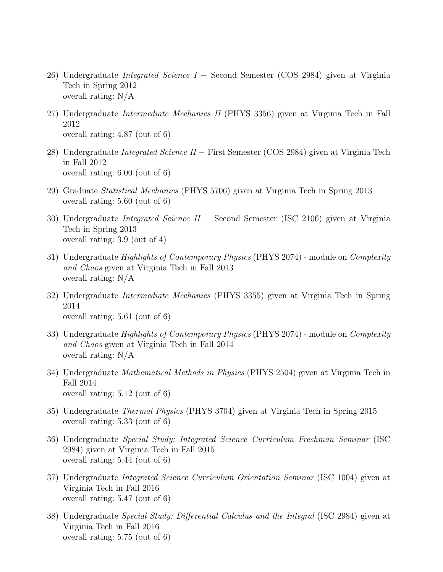- 26) Undergraduate *Integrated Science I* − Second Semester (COS 2984) given at Virginia Tech in Spring 2012 overall rating: N/A
- 27) Undergraduate Intermediate Mechanics II (PHYS 3356) given at Virginia Tech in Fall 2012 overall rating: 4.87 (out of 6)
- 28) Undergraduate Integrated Science II − First Semester (COS 2984) given at Virginia Tech in Fall 2012 overall rating: 6.00 (out of 6)
- 29) Graduate Statistical Mechanics (PHYS 5706) given at Virginia Tech in Spring 2013 overall rating: 5.60 (out of 6)
- 30) Undergraduate Integrated Science II − Second Semester (ISC 2106) given at Virginia Tech in Spring 2013 overall rating: 3.9 (out of 4)
- 31) Undergraduate *Highlights of Contemporary Physics* (PHYS 2074) module on *Complexity* and Chaos given at Virginia Tech in Fall 2013 overall rating: N/A
- 32) Undergraduate Intermediate Mechanics (PHYS 3355) given at Virginia Tech in Spring 2014 overall rating: 5.61 (out of 6)
- 33) Undergraduate *Highlights of Contemporary Physics* (PHYS 2074) module on *Complexity* and Chaos given at Virginia Tech in Fall 2014 overall rating: N/A
- 34) Undergraduate Mathematical Methods in Physics (PHYS 2504) given at Virginia Tech in Fall 2014 overall rating: 5.12 (out of 6)
- 35) Undergraduate Thermal Physics (PHYS 3704) given at Virginia Tech in Spring 2015 overall rating: 5.33 (out of 6)
- 36) Undergraduate Special Study: Integrated Science Curriculum Freshman Seminar (ISC 2984) given at Virginia Tech in Fall 2015 overall rating: 5.44 (out of 6)
- 37) Undergraduate Integrated Science Curriculum Orientation Seminar (ISC 1004) given at Virginia Tech in Fall 2016 overall rating: 5.47 (out of 6)
- 38) Undergraduate Special Study: Differential Calculus and the Integral (ISC 2984) given at Virginia Tech in Fall 2016 overall rating: 5.75 (out of 6)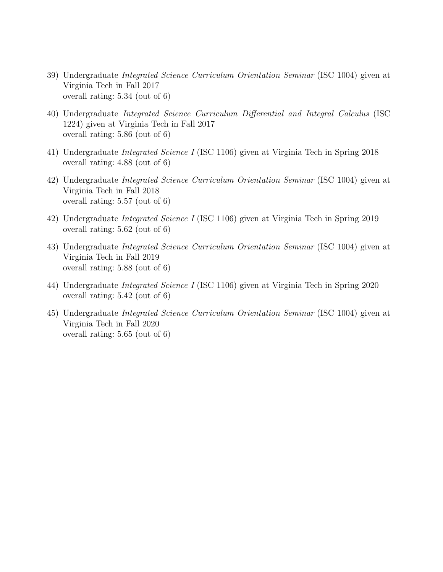- 39) Undergraduate Integrated Science Curriculum Orientation Seminar (ISC 1004) given at Virginia Tech in Fall 2017 overall rating: 5.34 (out of 6)
- 40) Undergraduate Integrated Science Curriculum Differential and Integral Calculus (ISC 1224) given at Virginia Tech in Fall 2017 overall rating: 5.86 (out of 6)
- 41) Undergraduate Integrated Science I (ISC 1106) given at Virginia Tech in Spring 2018 overall rating: 4.88 (out of 6)
- 42) Undergraduate Integrated Science Curriculum Orientation Seminar (ISC 1004) given at Virginia Tech in Fall 2018 overall rating: 5.57 (out of 6)
- 42) Undergraduate Integrated Science I (ISC 1106) given at Virginia Tech in Spring 2019 overall rating: 5.62 (out of 6)
- 43) Undergraduate Integrated Science Curriculum Orientation Seminar (ISC 1004) given at Virginia Tech in Fall 2019 overall rating: 5.88 (out of 6)
- 44) Undergraduate Integrated Science I (ISC 1106) given at Virginia Tech in Spring 2020 overall rating: 5.42 (out of 6)
- 45) Undergraduate Integrated Science Curriculum Orientation Seminar (ISC 1004) given at Virginia Tech in Fall 2020 overall rating: 5.65 (out of 6)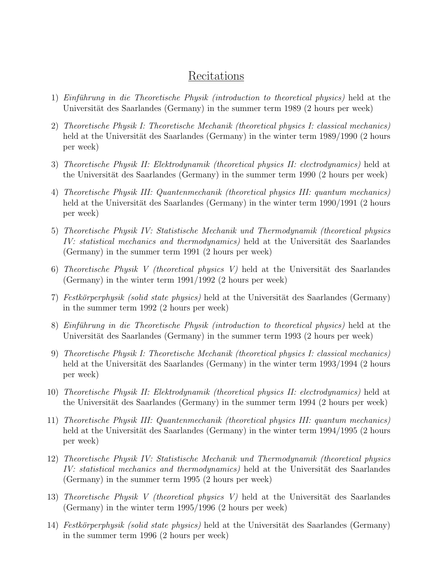### Recitations

- 1) Einführung in die Theoretische Physik (introduction to theoretical physics) held at the Universität des Saarlandes (Germany) in the summer term 1989 (2 hours per week)
- 2) Theoretische Physik I: Theoretische Mechanik (theoretical physics I: classical mechanics) held at the Universität des Saarlandes (Germany) in the winter term  $1989/1990$  (2 hours per week)
- 3) Theoretische Physik II: Elektrodynamik (theoretical physics II: electrodynamics) held at the Universität des Saarlandes (Germany) in the summer term 1990 (2 hours per week)
- 4) Theoretische Physik III: Quantenmechanik (theoretical physics III: quantum mechanics) held at the Universität des Saarlandes (Germany) in the winter term  $1990/1991$  (2 hours per week)
- 5) Theoretische Physik IV: Statistische Mechanik und Thermodynamik (theoretical physics IV: statistical mechanics and thermodynamics) held at the Universität des Saarlandes (Germany) in the summer term 1991 (2 hours per week)
- 6) Theoretische Physik V (theoretical physics V) held at the Universität des Saarlandes (Germany) in the winter term 1991/1992 (2 hours per week)
- 7) Festkörperphysik (solid state physics) held at the Universität des Saarlandes (Germany) in the summer term 1992 (2 hours per week)
- 8) Einführung in die Theoretische Physik (introduction to theoretical physics) held at the Universität des Saarlandes (Germany) in the summer term 1993 (2 hours per week)
- 9) Theoretische Physik I: Theoretische Mechanik (theoretical physics I: classical mechanics) held at the Universität des Saarlandes (Germany) in the winter term 1993/1994 (2 hours per week)
- 10) Theoretische Physik II: Elektrodynamik (theoretical physics II: electrodynamics) held at the Universität des Saarlandes (Germany) in the summer term  $1994$  (2 hours per week)
- 11) Theoretische Physik III: Quantenmechanik (theoretical physics III: quantum mechanics) held at the Universität des Saarlandes (Germany) in the winter term  $1994/1995$  (2 hours per week)
- 12) Theoretische Physik IV: Statistische Mechanik und Thermodynamik (theoretical physics IV: statistical mechanics and thermodynamics) held at the Universität des Saarlandes (Germany) in the summer term 1995 (2 hours per week)
- 13) Theoretische Physik V (theoretical physics V) held at the Universität des Saarlandes (Germany) in the winter term 1995/1996 (2 hours per week)
- 14) Festkörperphysik (solid state physics) held at the Universität des Saarlandes (Germany) in the summer term 1996 (2 hours per week)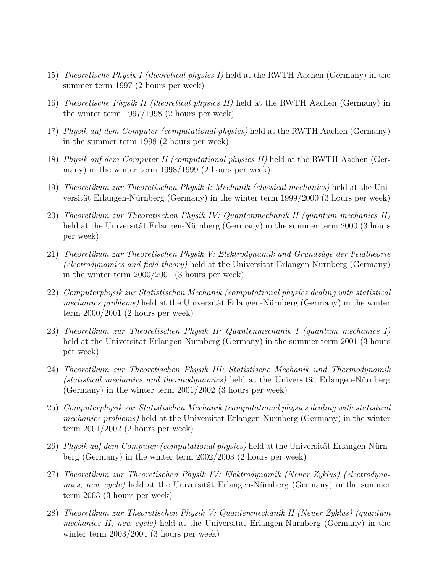- 15) Theoretische Physik I (theoretical physics I) held at the RWTH Aachen (Germany) in the summer term 1997 (2 hours per week)
- 16) Theoretische Physik II (theoretical physics II) held at the RWTH Aachen (Germany) in the winter term 1997/1998 (2 hours per week)
- 17) Physik auf dem Computer (computational physics) held at the RWTH Aachen (Germany) in the summer term 1998 (2 hours per week)
- 18) Physik auf dem Computer II (computational physics II) held at the RWTH Aachen (Germany) in the winter term 1998/1999 (2 hours per week)
- 19) Theoretikum zur Theoretischen Physik I: Mechanik (classical mechanics) held at the Universität Erlangen-Nürnberg (Germany) in the winter term  $1999/2000$  (3 hours per week)
- 20) Theoretikum zur Theoretischen Physik IV: Quantenmechanik II (quantum mechanics II) held at the Universität Erlangen-Nürnberg (Germany) in the summer term 2000 (3 hours per week)
- 21) Theoretikum zur Theoretischen Physik V: Elektrodynamik und Grundzüge der Feldtheorie (electrodynamics and field theory) held at the Universität Erlangen-Nürnberg (Germany) in the winter term 2000/2001 (3 hours per week)
- 22) Computerphysik zur Statistischen Mechanik (computational physics dealing with statistical *mechanics problems*) held at the Universität Erlangen-Nurnberg (Germany) in the winter term 2000/2001 (2 hours per week)
- 23) Theoretikum zur Theoretischen Physik II: Quantenmechanik I (quantum mechanics I) held at the Universität Erlangen-Nürnberg (Germany) in the summer term  $2001$  (3 hours per week)
- 24) Theoretikum zur Theoretischen Physik III: Statistische Mechanik und Thermodynamik  $(statistical mechanics and thermodynamics)$  held at the Universität Erlangen-Nürnberg (Germany) in the winter term 2001/2002 (3 hours per week)
- 25) Computerphysik zur Statistischen Mechanik (computational physics dealing with statistical mechanics problems) held at the Universität Erlangen-Nurnberg (Germany) in the winter term 2001/2002 (2 hours per week)
- 26) Physik auf dem Computer (computational physics) held at the Universität Erlangen-Nürnberg (Germany) in the winter term 2002/2003 (2 hours per week)
- 27) Theoretikum zur Theoretischen Physik IV: Elektrodynamik (Neuer Zyklus) (electrodyna*mics, new cycle)* held at the Universität Erlangen-Nürnberg (Germany) in the summer term 2003 (3 hours per week)
- 28) Theoretikum zur Theoretischen Physik V: Quantenmechanik II (Neuer Zyklus) (quantum *mechanics II, new cycle)* held at the Universität Erlangen-Nürnberg (Germany) in the winter term 2003/2004 (3 hours per week)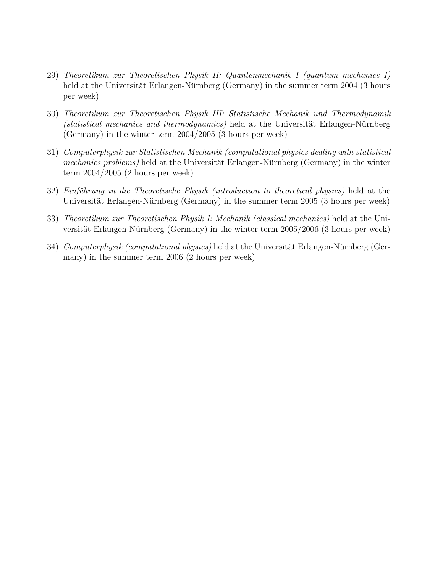- 29) Theoretikum zur Theoretischen Physik II: Quantenmechanik I (quantum mechanics I) held at the Universität Erlangen-Nürnberg (Germany) in the summer term  $2004$  (3 hours per week)
- 30) Theoretikum zur Theoretischen Physik III: Statistische Mechanik und Thermodynamik  $(statistical mechanics and thermodynamics)$  held at the Universität Erlangen-Nürnberg (Germany) in the winter term 2004/2005 (3 hours per week)
- 31) Computerphysik zur Statistischen Mechanik (computational physics dealing with statistical mechanics problems) held at the Universität Erlangen-Nürnberg (Germany) in the winter term 2004/2005 (2 hours per week)
- $32)$  Einführung in die Theoretische Physik (introduction to theoretical physics) held at the Universität Erlangen-Nürnberg (Germany) in the summer term  $2005$  (3 hours per week)
- 33) Theoretikum zur Theoretischen Physik I: Mechanik (classical mechanics) held at the Universität Erlangen-Nürnberg (Germany) in the winter term  $2005/2006$  (3 hours per week)
- 34) Computerphysik (computational physics) held at the Universität Erlangen-Nürnberg (Germany) in the summer term 2006 (2 hours per week)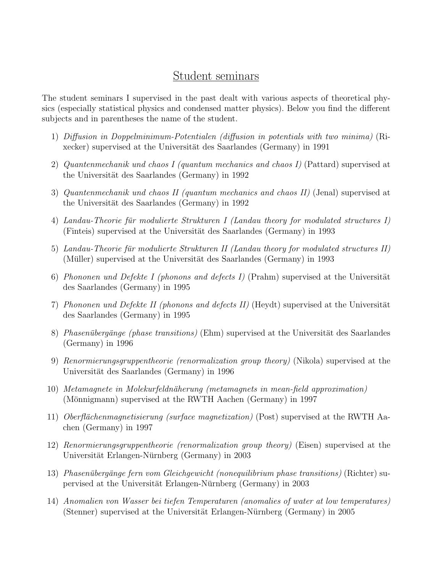#### Student seminars

The student seminars I supervised in the past dealt with various aspects of theoretical physics (especially statistical physics and condensed matter physics). Below you find the different subjects and in parentheses the name of the student.

- 1) Diffusion in Doppelminimum-Potentialen (diffusion in potentials with two minima) (Rixecker) supervised at the Universität des Saarlandes (Germany) in 1991
- 2) Quantenmechanik und chaos I (quantum mechanics and chaos I) (Pattard) supervised at the Universität des Saarlandes (Germany) in 1992
- 3) Quantenmechanik und chaos II (quantum mechanics and chaos II) (Jenal) supervised at the Universität des Saarlandes (Germany) in 1992
- 4) Landau-Theorie für modulierte Strukturen I (Landau theory for modulated structures I) (Finteis) supervised at the Universität des Saarlandes (Germany) in 1993
- 5) Landau-Theorie für modulierte Strukturen II (Landau theory for modulated structures II) (Müller) supervised at the Universität des Saarlandes (Germany) in 1993
- 6) Phononen und Defekte I (phonons and defects I) (Prahm) supervised at the Universität des Saarlandes (Germany) in 1995
- 7) Phononen und Defekte II (phonons and defects II) (Heydt) supervised at the Universität des Saarlandes (Germany) in 1995
- 8) Phasenübergänge (phase transitions) (Ehm) supervised at the Universität des Saarlandes (Germany) in 1996
- 9) Renormierungsgruppentheorie (renormalization group theory) (Nikola) supervised at the Universität des Saarlandes (Germany) in 1996
- 10) Metamagnete in Molekurfeldnäherung (metamagnets in mean-field approximation) (Mönnigmann) supervised at the RWTH Aachen (Germany) in 1997
- 11) Oberflächenmagnetisierung (surface magnetization) (Post) supervised at the RWTH Aachen (Germany) in 1997
- 12) Renormierungsgruppentheorie (renormalization group theory) (Eisen) supervised at the Universität Erlangen-Nürnberg (Germany) in 2003
- 13) Phasenübergänge fern vom Gleichgewicht (nonequilibrium phase transitions) (Richter) supervised at the Universität Erlangen-Nürnberg (Germany) in 2003
- 14) Anomalien von Wasser bei tiefen Temperaturen (anomalies of water at low temperatures) (Stenner) supervised at the Universität Erlangen-Nürnberg (Germany) in 2005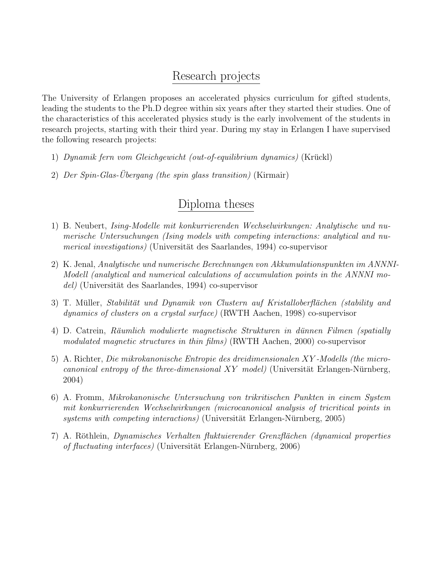### Research projects

The University of Erlangen proposes an accelerated physics curriculum for gifted students, leading the students to the Ph.D degree within six years after they started their studies. One of the characteristics of this accelerated physics study is the early involvement of the students in research projects, starting with their third year. During my stay in Erlangen I have supervised the following research projects:

- 1) Dynamik fern vom Gleichgewicht (out-of-equilibrium dynamics) (Kruckl) ¨
- 2) Der Spin-Glas-Übergang (the spin glass transition) (Kirmair)

## Diploma theses

- 1) B. Neubert, Ising-Modelle mit konkurrierenden Wechselwirkungen: Analytische und numerische Untersuchungen (Ising models with competing interactions: analytical and numerical investigations) (Universität des Saarlandes, 1994) co-supervisor
- 2) K. Jenal, Analytische und numerische Berechnungen von Akkumulationspunkten im ANNNI-Modell (analytical and numerical calculations of accumulation points in the ANNNI mo $del)$  (Universität des Saarlandes, 1994) co-supervisor
- 3) T. Müller, Stabilität und Dynamik von Clustern auf Kristalloberflächen (stability and dynamics of clusters on a crystal surface) (RWTH Aachen, 1998) co-supervisor
- 4) D. Catrein, Räumlich modulierte magnetische Strukturen in dünnen Filmen (spatially modulated magnetic structures in thin films) (RWTH Aachen, 2000) co-supervisor
- 5) A. Richter, Die mikrokanonische Entropie des dreidimensionalen XY -Modells (the microcanonical entropy of the three-dimensional  $XY$  model) (Universität Erlangen-Nürnberg, 2004)
- 6) A. Fromm, Mikrokanonische Untersuchung von trikritischen Punkten in einem System mit konkurrierenden Wechselwirkungen (microcanonical analysis of tricritical points in systems with competing interactions) (Universität Erlangen-Nürnberg, 2005)
- 7) A. Röthlein, Dynamisches Verhalten fluktuierender Grenzflächen (dynamical properties of fluctuating interfaces) (Universität Erlangen-Nürnberg, 2006)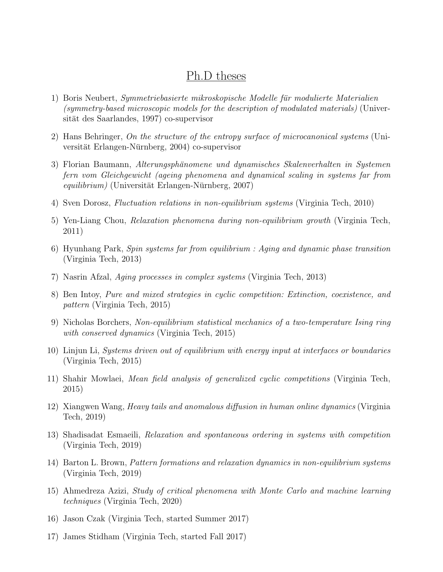#### Ph.D theses

- 1) Boris Neubert, *Symmetriebasierte mikroskopische Modelle für modulierte Materialien* (symmetry-based microscopic models for the description of modulated materials) (Universität des Saarlandes, 1997) co-supervisor
- 2) Hans Behringer, On the structure of the entropy surface of microcanonical systems (Universität Erlangen-Nürnberg, 2004) co-supervisor
- 3) Florian Baumann, Alterungsphänomene und dynamisches Skalenverhalten in Systemen fern vom Gleichgewicht (ageing phenomena and dynamical scaling in systems far from  $equilibrium)$  (Universität Erlangen-Nürnberg, 2007)
- 4) Sven Dorosz, Fluctuation relations in non-equilibrium systems (Virginia Tech, 2010)
- 5) Yen-Liang Chou, Relaxation phenomena during non-equilibrium growth (Virginia Tech, 2011)
- 6) Hyunhang Park, Spin systems far from equilibrium : Aging and dynamic phase transition (Virginia Tech, 2013)
- 7) Nasrin Afzal, Aging processes in complex systems (Virginia Tech, 2013)
- 8) Ben Intoy, Pure and mixed strategies in cyclic competition: Extinction, coexistence, and pattern (Virginia Tech, 2015)
- 9) Nicholas Borchers, Non-equilibrium statistical mechanics of a two-temperature Ising ring with conserved dynamics (Virginia Tech, 2015)
- 10) Linjun Li, Systems driven out of equilibrium with energy input at interfaces or boundaries (Virginia Tech, 2015)
- 11) Shahir Mowlaei, Mean field analysis of generalized cyclic competitions (Virginia Tech, 2015)
- 12) Xiangwen Wang, Heavy tails and anomalous diffusion in human online dynamics (Virginia Tech, 2019)
- 13) Shadisadat Esmaeili, Relaxation and spontaneous ordering in systems with competition (Virginia Tech, 2019)
- 14) Barton L. Brown, Pattern formations and relaxation dynamics in non-equilibrium systems (Virginia Tech, 2019)
- 15) Ahmedreza Azizi, Study of critical phenomena with Monte Carlo and machine learning techniques (Virginia Tech, 2020)
- 16) Jason Czak (Virginia Tech, started Summer 2017)
- 17) James Stidham (Virginia Tech, started Fall 2017)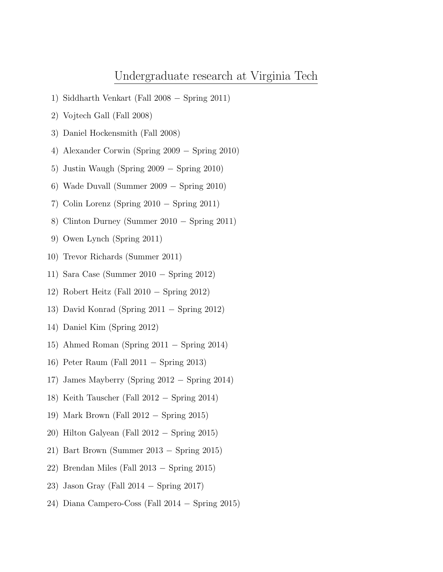#### Undergraduate research at Virginia Tech

- 1) Siddharth Venkart (Fall 2008 − Spring 2011)
- 2) Vojtech Gall (Fall 2008)
- 3) Daniel Hockensmith (Fall 2008)
- 4) Alexander Corwin (Spring 2009 − Spring 2010)
- 5) Justin Waugh (Spring 2009 − Spring 2010)
- 6) Wade Duvall (Summer 2009 − Spring 2010)
- 7) Colin Lorenz (Spring 2010 − Spring 2011)
- 8) Clinton Durney (Summer 2010 − Spring 2011)
- 9) Owen Lynch (Spring 2011)
- 10) Trevor Richards (Summer 2011)
- 11) Sara Case (Summer 2010 − Spring 2012)
- 12) Robert Heitz (Fall 2010 − Spring 2012)
- 13) David Konrad (Spring 2011 − Spring 2012)
- 14) Daniel Kim (Spring 2012)
- 15) Ahmed Roman (Spring 2011 − Spring 2014)
- 16) Peter Raum (Fall 2011 − Spring 2013)
- 17) James Mayberry (Spring 2012 − Spring 2014)
- 18) Keith Tauscher (Fall 2012 − Spring 2014)
- 19) Mark Brown (Fall 2012 − Spring 2015)
- 20) Hilton Galyean (Fall 2012 − Spring 2015)
- 21) Bart Brown (Summer 2013 − Spring 2015)
- 22) Brendan Miles (Fall 2013 − Spring 2015)
- 23) Jason Gray (Fall 2014 − Spring 2017)
- 24) Diana Campero-Coss (Fall 2014 − Spring 2015)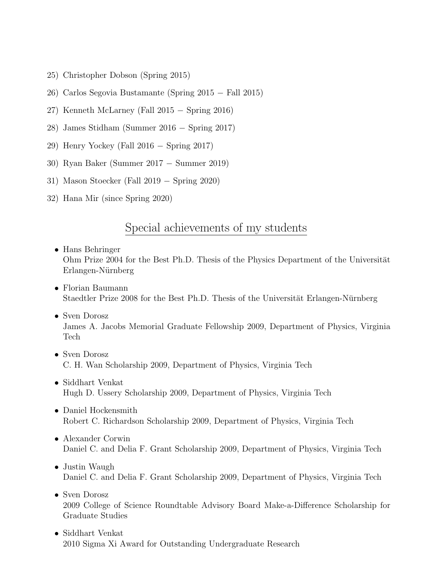- 25) Christopher Dobson (Spring 2015)
- 26) Carlos Segovia Bustamante (Spring 2015 − Fall 2015)
- 27) Kenneth McLarney (Fall 2015 − Spring 2016)
- 28) James Stidham (Summer 2016 − Spring 2017)
- 29) Henry Yockey (Fall 2016 − Spring 2017)
- 30) Ryan Baker (Summer 2017 − Summer 2019)
- 31) Mason Stoecker (Fall 2019 − Spring 2020)
- 32) Hana Mir (since Spring 2020)

### Special achievements of my students

- Hans Behringer Ohm Prize 2004 for the Best Ph.D. Thesis of the Physics Department of the Universität Erlangen-Nürnberg
- Florian Baumann Staedtler Prize 2008 for the Best Ph.D. Thesis of the Universität Erlangen-Nürnberg
- Sven Dorosz James A. Jacobs Memorial Graduate Fellowship 2009, Department of Physics, Virginia Tech
- Sven Dorosz C. H. Wan Scholarship 2009, Department of Physics, Virginia Tech
- Siddhart Venkat Hugh D. Ussery Scholarship 2009, Department of Physics, Virginia Tech
- Daniel Hockensmith Robert C. Richardson Scholarship 2009, Department of Physics, Virginia Tech
- Alexander Corwin Daniel C. and Delia F. Grant Scholarship 2009, Department of Physics, Virginia Tech
- Justin Waugh Daniel C. and Delia F. Grant Scholarship 2009, Department of Physics, Virginia Tech
- Sven Dorosz 2009 College of Science Roundtable Advisory Board Make-a-Difference Scholarship for Graduate Studies
- Siddhart Venkat 2010 Sigma Xi Award for Outstanding Undergraduate Research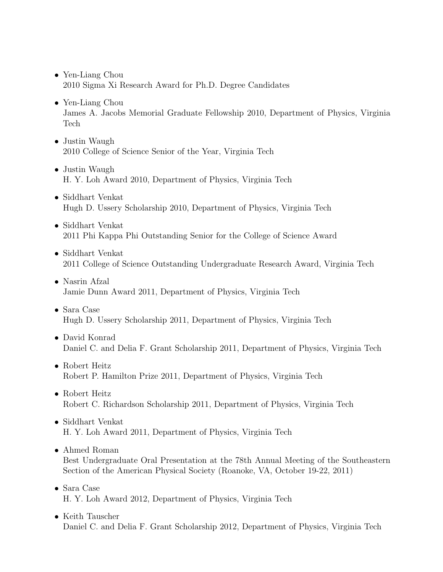- Yen-Liang Chou 2010 Sigma Xi Research Award for Ph.D. Degree Candidates
- Yen-Liang Chou James A. Jacobs Memorial Graduate Fellowship 2010, Department of Physics, Virginia Tech
- Justin Waugh 2010 College of Science Senior of the Year, Virginia Tech
- Justin Waugh H. Y. Loh Award 2010, Department of Physics, Virginia Tech
- Siddhart Venkat Hugh D. Ussery Scholarship 2010, Department of Physics, Virginia Tech
- Siddhart Venkat 2011 Phi Kappa Phi Outstanding Senior for the College of Science Award
- Siddhart Venkat 2011 College of Science Outstanding Undergraduate Research Award, Virginia Tech
- Nasrin Afzal Jamie Dunn Award 2011, Department of Physics, Virginia Tech
- Sara Case Hugh D. Ussery Scholarship 2011, Department of Physics, Virginia Tech
- David Konrad Daniel C. and Delia F. Grant Scholarship 2011, Department of Physics, Virginia Tech
- Robert Heitz Robert P. Hamilton Prize 2011, Department of Physics, Virginia Tech
- Robert Heitz Robert C. Richardson Scholarship 2011, Department of Physics, Virginia Tech
- Siddhart Venkat H. Y. Loh Award 2011, Department of Physics, Virginia Tech
- Ahmed Roman

Best Undergraduate Oral Presentation at the 78th Annual Meeting of the Southeastern Section of the American Physical Society (Roanoke, VA, October 19-22, 2011)

- Sara Case H. Y. Loh Award 2012, Department of Physics, Virginia Tech
- Keith Tauscher Daniel C. and Delia F. Grant Scholarship 2012, Department of Physics, Virginia Tech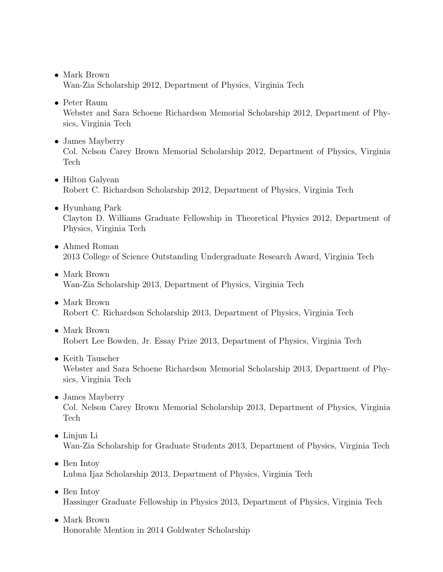- Mark Brown Wan-Zia Scholarship 2012, Department of Physics, Virginia Tech
- Peter Raum

Webster and Sara Schoene Richardson Memorial Scholarship 2012, Department of Physics, Virginia Tech

• James Mayberry

Col. Nelson Carey Brown Memorial Scholarship 2012, Department of Physics, Virginia Tech

- Hilton Galyean Robert C. Richardson Scholarship 2012, Department of Physics, Virginia Tech
- Hyunhang Park Clayton D. Williams Graduate Fellowship in Theoretical Physics 2012, Department of Physics, Virginia Tech
- Ahmed Roman 2013 College of Science Outstanding Undergraduate Research Award, Virginia Tech
- Mark Brown Wan-Zia Scholarship 2013, Department of Physics, Virginia Tech
- Mark Brown Robert C. Richardson Scholarship 2013, Department of Physics, Virginia Tech
- Mark Brown Robert Lee Bowden, Jr. Essay Prize 2013, Department of Physics, Virginia Tech
- Keith Tauscher Webster and Sara Schoene Richardson Memorial Scholarship 2013, Department of Physics, Virginia Tech
- James Mayberry Col. Nelson Carey Brown Memorial Scholarship 2013, Department of Physics, Virginia Tech
- Linjun Li Wan-Zia Scholarship for Graduate Students 2013, Department of Physics, Virginia Tech
- Ben Intoy Lubna Ijaz Scholarship 2013, Department of Physics, Virginia Tech
- Ben Intoy Hassinger Graduate Fellowship in Physics 2013, Department of Physics, Virginia Tech
- Mark Brown Honorable Mention in 2014 Goldwater Scholarship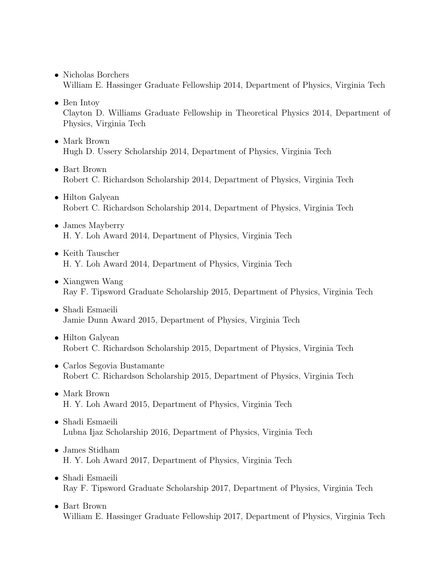- Nicholas Borchers William E. Hassinger Graduate Fellowship 2014, Department of Physics, Virginia Tech
- Ben Intoy Clayton D. Williams Graduate Fellowship in Theoretical Physics 2014, Department of Physics, Virginia Tech
- Mark Brown Hugh D. Ussery Scholarship 2014, Department of Physics, Virginia Tech
- Bart Brown Robert C. Richardson Scholarship 2014, Department of Physics, Virginia Tech
- Hilton Galyean Robert C. Richardson Scholarship 2014, Department of Physics, Virginia Tech
- James Mayberry H. Y. Loh Award 2014, Department of Physics, Virginia Tech
- Keith Tauscher H. Y. Loh Award 2014, Department of Physics, Virginia Tech
- Xiangwen Wang Ray F. Tipsword Graduate Scholarship 2015, Department of Physics, Virginia Tech
- Shadi Esmaeili Jamie Dunn Award 2015, Department of Physics, Virginia Tech
- Hilton Galyean Robert C. Richardson Scholarship 2015, Department of Physics, Virginia Tech
- Carlos Segovia Bustamante Robert C. Richardson Scholarship 2015, Department of Physics, Virginia Tech
- Mark Brown H. Y. Loh Award 2015, Department of Physics, Virginia Tech
- Shadi Esmaeili Lubna Ijaz Scholarship 2016, Department of Physics, Virginia Tech
- James Stidham H. Y. Loh Award 2017, Department of Physics, Virginia Tech
- Shadi Esmaeili Ray F. Tipsword Graduate Scholarship 2017, Department of Physics, Virginia Tech
- Bart Brown William E. Hassinger Graduate Fellowship 2017, Department of Physics, Virginia Tech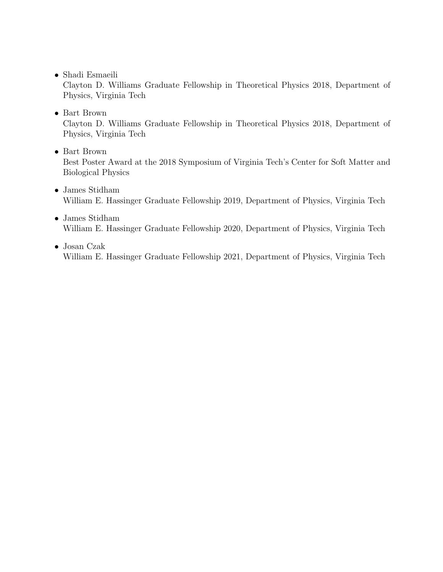• Shadi Esmaeili

Clayton D. Williams Graduate Fellowship in Theoretical Physics 2018, Department of Physics, Virginia Tech

• Bart Brown

Clayton D. Williams Graduate Fellowship in Theoretical Physics 2018, Department of Physics, Virginia Tech

• Bart Brown

Best Poster Award at the 2018 Symposium of Virginia Tech's Center for Soft Matter and Biological Physics

- James Stidham William E. Hassinger Graduate Fellowship 2019, Department of Physics, Virginia Tech
- James Stidham William E. Hassinger Graduate Fellowship 2020, Department of Physics, Virginia Tech
- Josan Czak William E. Hassinger Graduate Fellowship 2021, Department of Physics, Virginia Tech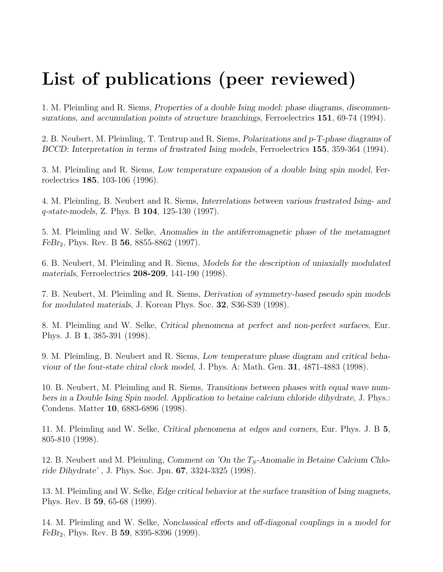# List of publications (peer reviewed)

1. M. Pleimling and R. Siems, Properties of a double Ising model: phase diagrams, discommensurations, and accumulation points of structure branchings, Ferroelectrics 151, 69-74 (1994).

2. B. Neubert, M. Pleimling, T. Tentrup and R. Siems, Polarizations and p-T-phase diagrams of BCCD: Interpretation in terms of frustrated Ising models, Ferroelectrics 155, 359-364 (1994).

3. M. Pleimling and R. Siems, Low temperature expansion of a double Ising spin model, Ferroelectrics 185, 103-106 (1996).

4. M. Pleimling, B. Neubert and R. Siems, Interrelations between various frustrated Ising- and q-state-models, Z. Phys. B 104, 125-130 (1997).

5. M. Pleimling and W. Selke, Anomalies in the antiferromagnetic phase of the metamagnet  $FeBr<sub>2</sub>$ , Phys. Rev. B 56, 8855-8862 (1997).

6. B. Neubert, M. Pleimling and R. Siems, Models for the description of uniaxially modulated materials, Ferroelectrics 208-209, 141-190 (1998).

7. B. Neubert, M. Pleimling and R. Siems, Derivation of symmetry-based pseudo spin models for modulated materials, J. Korean Phys. Soc. 32, S36-S39 (1998).

8. M. Pleimling and W. Selke, Critical phenomena at perfect and non-perfect surfaces, Eur. Phys. J. B 1, 385-391 (1998).

9. M. Pleimling, B. Neubert and R. Siems, Low temperature phase diagram and critical behaviour of the four-state chiral clock model, J. Phys. A: Math. Gen. 31, 4871-4883 (1998).

10. B. Neubert, M. Pleimling and R. Siems, Transitions between phases with equal wave numbers in a Double Ising Spin model. Application to betaine calcium chloride dihydrate, J. Phys.: Condens. Matter 10, 6883-6896 (1998).

11. M. Pleimling and W. Selke, Critical phenomena at edges and corners, Eur. Phys. J. B 5, 805-810 (1998).

12. B. Neubert and M. Pleimling, Comment on 'On the  $T_S$ -Anomalie in Betaine Calcium Chloride Dihydrate' , J. Phys. Soc. Jpn. 67, 3324-3325 (1998).

13. M. Pleimling and W. Selke, Edge critical behavior at the surface transition of Ising magnets, Phys. Rev. B 59, 65-68 (1999).

14. M. Pleimling and W. Selke, Nonclassical effects and off-diagonal couplings in a model for  $FeBr_2$ , Phys. Rev. B 59, 8395-8396 (1999).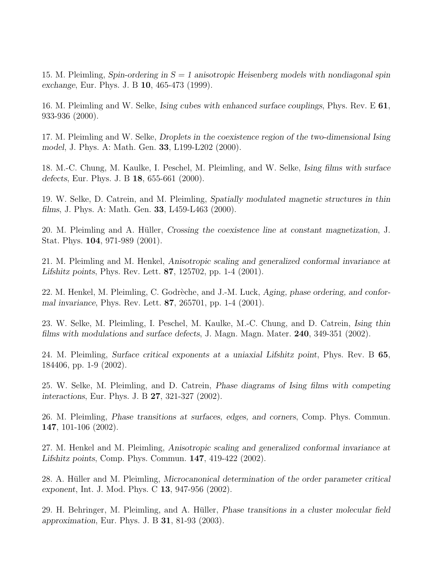15. M. Pleimling, Spin-ordering in  $S = 1$  anisotropic Heisenberg models with nondiagonal spin exchange, Eur. Phys. J. B 10, 465-473 (1999).

16. M. Pleimling and W. Selke, Ising cubes with enhanced surface couplings, Phys. Rev. E 61, 933-936 (2000).

17. M. Pleimling and W. Selke, Droplets in the coexistence region of the two-dimensional Ising model, J. Phys. A: Math. Gen. 33, L199-L202 (2000).

18. M.-C. Chung, M. Kaulke, I. Peschel, M. Pleimling, and W. Selke, Ising films with surface defects, Eur. Phys. J. B 18, 655-661 (2000).

19. W. Selke, D. Catrein, and M. Pleimling, Spatially modulated magnetic structures in thin films, J. Phys. A: Math. Gen. 33, L459-L463 (2000).

20. M. Pleimling and A. Hüller, Crossing the coexistence line at constant magnetization, J. Stat. Phys. 104, 971-989 (2001).

21. M. Pleimling and M. Henkel, Anisotropic scaling and generalized conformal invariance at Lifshitz points, Phys. Rev. Lett. 87, 125702, pp. 1-4 (2001).

22. M. Henkel, M. Pleimling, C. Godrèche, and J.-M. Luck, Aging, phase ordering, and conformal invariance, Phys. Rev. Lett. 87, 265701, pp. 1-4 (2001).

23. W. Selke, M. Pleimling, I. Peschel, M. Kaulke, M.-C. Chung, and D. Catrein, Ising thin films with modulations and surface defects, J. Magn. Magn. Mater. 240, 349-351 (2002).

24. M. Pleimling, Surface critical exponents at a uniaxial Lifshitz point, Phys. Rev. B 65, 184406, pp. 1-9 (2002).

25. W. Selke, M. Pleimling, and D. Catrein, Phase diagrams of Ising films with competing interactions, Eur. Phys. J. B 27, 321-327 (2002).

26. M. Pleimling, Phase transitions at surfaces, edges, and corners, Comp. Phys. Commun. 147, 101-106 (2002).

27. M. Henkel and M. Pleimling, Anisotropic scaling and generalized conformal invariance at Lifshitz points, Comp. Phys. Commun. 147, 419-422 (2002).

28. A. Hüller and M. Pleimling, Microcanonical determination of the order parameter critical exponent, Int. J. Mod. Phys. C 13, 947-956 (2002).

29. H. Behringer, M. Pleimling, and A. Hüller, *Phase transitions in a cluster molecular field* approximation, Eur. Phys. J. B 31, 81-93 (2003).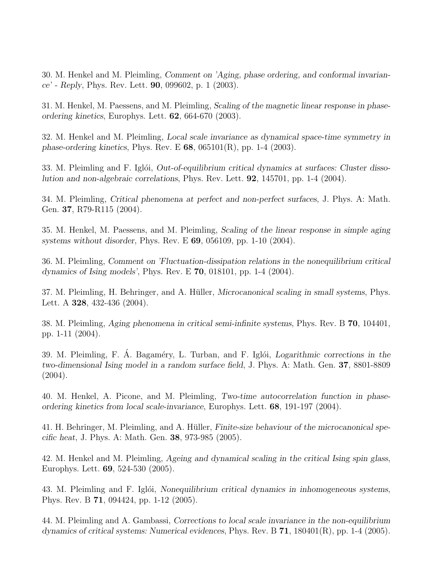30. M. Henkel and M. Pleimling, Comment on 'Aging, phase ordering, and conformal invariance' - Reply, Phys. Rev. Lett. 90, 099602, p. 1 (2003).

31. M. Henkel, M. Paessens, and M. Pleimling, Scaling of the magnetic linear response in phaseordering kinetics, Europhys. Lett. 62, 664-670 (2003).

32. M. Henkel and M. Pleimling, Local scale invariance as dynamical space-time symmetry in phase-ordering kinetics, Phys. Rev. E  $68$ ,  $065101(R)$ , pp. 1-4 (2003).

33. M. Pleimling and F. Igloi, Out-of-equilibrium critical dynamics at surfaces: Cluster dissolution and non-algebraic correlations, Phys. Rev. Lett. 92, 145701, pp. 1-4 (2004).

34. M. Pleimling, Critical phenomena at perfect and non-perfect surfaces, J. Phys. A: Math. Gen. 37, R79-R115 (2004).

35. M. Henkel, M. Paessens, and M. Pleimling, Scaling of the linear response in simple aging systems without disorder, Phys. Rev. E 69, 056109, pp. 1-10 (2004).

36. M. Pleimling, Comment on 'Fluctuation-dissipation relations in the nonequilibrium critical dynamics of Ising models', Phys. Rev. E 70, 018101, pp. 1-4 (2004).

37. M. Pleimling, H. Behringer, and A. Hüller, *Microcanonical scaling in small systems*, Phys. Lett. A 328, 432-436 (2004).

38. M. Pleimling, Aging phenomena in critical semi-infinite systems, Phys. Rev. B 70, 104401, pp. 1-11 (2004).

39. M. Pleimling, F. A. Bagaméry, L. Turban, and F. Iglói, Logarithmic corrections in the two-dimensional Ising model in a random surface field, J. Phys. A: Math. Gen. 37, 8801-8809 (2004).

40. M. Henkel, A. Picone, and M. Pleimling, Two-time autocorrelation function in phaseordering kinetics from local scale-invariance, Europhys. Lett. 68, 191-197 (2004).

41. H. Behringer, M. Pleimling, and A. Hüller, *Finite-size behaviour of the microcanonical spe*cific heat, J. Phys. A: Math. Gen. 38, 973-985 (2005).

42. M. Henkel and M. Pleimling, Ageing and dynamical scaling in the critical Ising spin glass, Europhys. Lett. 69, 524-530 (2005).

43. M. Pleimling and F. Iglói, Nonequilibrium critical dynamics in inhomogeneous systems, Phys. Rev. B 71, 094424, pp. 1-12 (2005).

44. M. Pleimling and A. Gambassi, Corrections to local scale invariance in the non-equilibrium dynamics of critical systems: Numerical evidences, Phys. Rev. B  $71$ , 180401(R), pp. 1-4 (2005).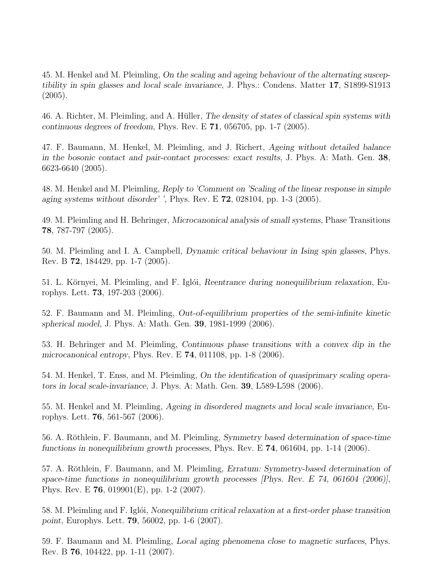45. M. Henkel and M. Pleimling, On the scaling and ageing behaviour of the alternating susceptibility in spin glasses and local scale invariance, J. Phys.: Condens. Matter 17, S1899-S1913  $(2005).$ 

46. A. Richter, M. Pleimling, and A. Hüller, *The density of states of classical spin systems with* continuous degrees of freedom, Phys. Rev. E 71, 056705, pp. 1-7 (2005).

47. F. Baumann, M. Henkel, M. Pleimling, and J. Richert, Ageing without detailed balance in the bosonic contact and pair-contact processes: exact results, J. Phys. A: Math. Gen. 38, 6623-6640 (2005).

48. M. Henkel and M. Pleimling, Reply to 'Comment on 'Scaling of the linear response in simple aging systems without disorder' ', Phys. Rev. E  $72$ , 028104, pp. 1-3 (2005).

49. M. Pleimling and H. Behringer, Microcanonical analysis of small systems, Phase Transitions 78, 787-797 (2005).

50. M. Pleimling and I. A. Campbell, Dynamic critical behaviour in Ising spin glasses, Phys. Rev. B 72, 184429, pp. 1-7 (2005).

51. L. Környei, M. Pleimling, and F. Iglói, Reentrance during nonequilibrium relaxation, Europhys. Lett. 73, 197-203 (2006).

52. F. Baumann and M. Pleimling, Out-of-equilibrium properties of the semi-infinite kinetic spherical model, J. Phys. A: Math. Gen. 39, 1981-1999 (2006).

53. H. Behringer and M. Pleimling, Continuous phase transitions with a convex dip in the microcanonical entropy, Phys. Rev. E 74, 011108, pp. 1-8 (2006).

54. M. Henkel, T. Enss, and M. Pleimling, On the identification of quasiprimary scaling operators in local scale-invariance, J. Phys. A: Math. Gen. 39, L589-L598 (2006).

55. M. Henkel and M. Pleimling, Ageing in disordered magnets and local scale invariance, Europhys. Lett. 76, 561-567 (2006).

56. A. Röthlein, F. Baumann, and M. Pleimling, Symmetry based determination of space-time functions in nonequilibrium growth processes, Phys. Rev. E 74, 061604, pp. 1-14 (2006).

57. A. Röthlein, F. Baumann, and M. Pleimling, *Erratum: Symmetry-based determination of* space-time functions in nonequilibrium growth processes [Phys. Rev. E 74, 061604 (2006)], Phys. Rev. E 76, 019901(E), pp. 1-2 (2007).

58. M. Pleimling and F. Iglói, Nonequilibrium critical relaxation at a first-order phase transition point, Europhys. Lett. 79, 56002, pp. 1-6 (2007).

59. F. Baumann and M. Pleimling, Local aging phenomena close to magnetic surfaces, Phys. Rev. B 76, 104422, pp. 1-11 (2007).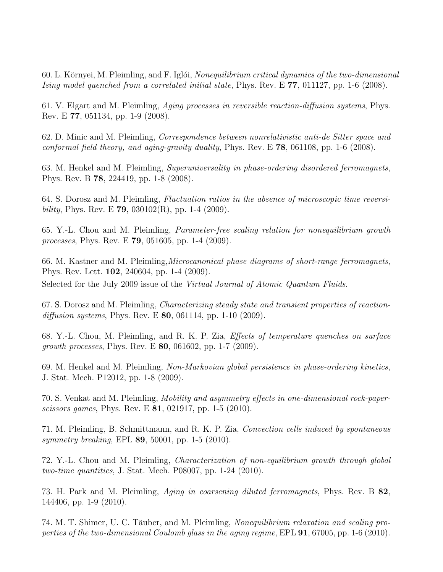60. L. Környei, M. Pleimling, and F. Iglói, Nonequilibrium critical dynamics of the two-dimensional Ising model quenched from a correlated initial state, Phys. Rev. E 77, 011127, pp. 1-6 (2008).

61. V. Elgart and M. Pleimling, Aging processes in reversible reaction-diffusion systems, Phys. Rev. E 77, 051134, pp. 1-9 (2008).

62. D. Minic and M. Pleimling, Correspondence between nonrelativistic anti-de Sitter space and conformal field theory, and aging-gravity duality, Phys. Rev. E 78, 061108, pp. 1-6 (2008).

63. M. Henkel and M. Pleimling, Superuniversality in phase-ordering disordered ferromagnets, Phys. Rev. B 78, 224419, pp. 1-8 (2008).

64. S. Dorosz and M. Pleimling, Fluctuation ratios in the absence of microscopic time reversibility, Phys. Rev. E 79, 030102(R), pp. 1-4 (2009).

65. Y.-L. Chou and M. Pleimling, Parameter-free scaling relation for nonequilibrium growth processes, Phys. Rev. E 79, 051605, pp. 1-4 (2009).

66. M. Kastner and M. Pleimling,Microcanonical phase diagrams of short-range ferromagnets, Phys. Rev. Lett. 102, 240604, pp. 1-4 (2009). Selected for the July 2009 issue of the Virtual Journal of Atomic Quantum Fluids.

67. S. Dorosz and M. Pleimling, Characterizing steady state and transient properties of reactiondiffusion systems, Phys. Rev. E  $80$ , 061114, pp. 1-10 (2009).

68. Y.-L. Chou, M. Pleimling, and R. K. P. Zia, Effects of temperature quenches on surface growth processes, Phys. Rev. E 80, 061602, pp. 1-7 (2009).

69. M. Henkel and M. Pleimling, Non-Markovian global persistence in phase-ordering kinetics, J. Stat. Mech. P12012, pp. 1-8 (2009).

70. S. Venkat and M. Pleimling, Mobility and asymmetry effects in one-dimensional rock-paperscissors games, Phys. Rev. E 81, 021917, pp. 1-5 (2010).

71. M. Pleimling, B. Schmittmann, and R. K. P. Zia, Convection cells induced by spontaneous symmetry breaking, EPL **89**, 50001, pp. 1-5 (2010).

72. Y.-L. Chou and M. Pleimling, Characterization of non-equilibrium growth through global two-time quantities, J. Stat. Mech. P08007, pp. 1-24 (2010).

73. H. Park and M. Pleimling, Aging in coarsening diluted ferromagnets, Phys. Rev. B 82, 144406, pp. 1-9 (2010).

74. M. T. Shimer, U. C. Täuber, and M. Pleimling, Nonequilibrium relaxation and scaling properties of the two-dimensional Coulomb glass in the aging regime, EPL 91, 67005, pp. 1-6 (2010).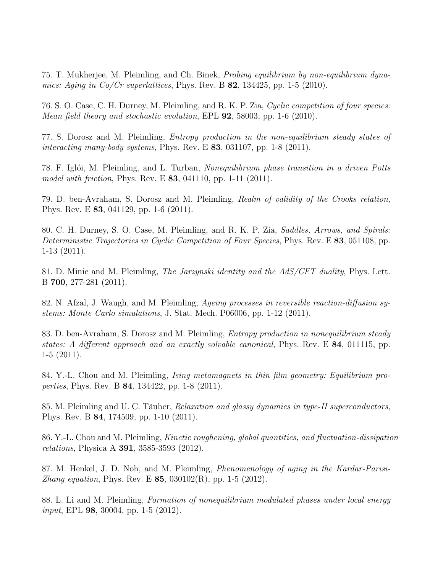75. T. Mukherjee, M. Pleimling, and Ch. Binek, Probing equilibrium by non-equilibrium dynamics: Aging in  $Co/Cr$  superlattices, Phys. Rev. B 82, 134425, pp. 1-5 (2010).

76. S. O. Case, C. H. Durney, M. Pleimling, and R. K. P. Zia, Cyclic competition of four species: Mean field theory and stochastic evolution, EPL 92, 58003, pp. 1-6 (2010).

77. S. Dorosz and M. Pleimling, Entropy production in the non-equilibrium steady states of interacting many-body systems, Phys. Rev. E  $83$ , 031107, pp. 1-8 (2011).

78. F. Iglói, M. Pleimling, and L. Turban, Nonequilibrium phase transition in a driven Potts model with friction, Phys. Rev. E **83**, 041110, pp. 1-11 (2011).

79. D. ben-Avraham, S. Dorosz and M. Pleimling, Realm of validity of the Crooks relation, Phys. Rev. E 83, 041129, pp. 1-6 (2011).

80. C. H. Durney, S. O. Case, M. Pleimling, and R. K. P. Zia, Saddles, Arrows, and Spirals: Deterministic Trajectories in Cyclic Competition of Four Species, Phys. Rev. E 83, 051108, pp. 1-13 (2011).

81. D. Minic and M. Pleimling, The Jarzynski identity and the AdS/CFT duality, Phys. Lett. B 700, 277-281 (2011).

82. N. Afzal, J. Waugh, and M. Pleimling, Ageing processes in reversible reaction-diffusion systems: Monte Carlo simulations, J. Stat. Mech. P06006, pp. 1-12 (2011).

83. D. ben-Avraham, S. Dorosz and M. Pleimling, Entropy production in nonequilibrium steady states: A different approach and an exactly solvable canonical, Phys. Rev. E 84, 011115, pp.  $1-5$   $(2011)$ .

84. Y.-L. Chou and M. Pleimling, Ising metamagnets in thin film geometry: Equilibrium properties, Phys. Rev. B 84, 134422, pp. 1-8 (2011).

85. M. Pleimling and U. C. Täuber, *Relaxation and glassy dynamics in type-II superconductors*, Phys. Rev. B 84, 174509, pp. 1-10 (2011).

86. Y.-L. Chou and M. Pleimling, Kinetic roughening, global quantities, and fluctuation-dissipation relations, Physica A 391, 3585-3593 (2012).

87. M. Henkel, J. D. Noh, and M. Pleimling, Phenomenology of aging in the Kardar-Parisi-*Zhang equation*, Phys. Rev. E 85,  $030102(R)$ , pp. 1-5  $(2012)$ .

88. L. Li and M. Pleimling, Formation of nonequilibrium modulated phases under local energy input, EPL 98, 30004, pp. 1-5 (2012).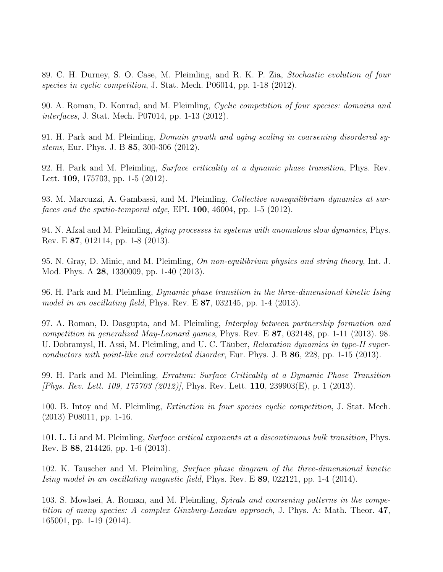89. C. H. Durney, S. O. Case, M. Pleimling, and R. K. P. Zia, Stochastic evolution of four species in cyclic competition, J. Stat. Mech. P06014, pp. 1-18 (2012).

90. A. Roman, D. Konrad, and M. Pleimling, Cyclic competition of four species: domains and interfaces, J. Stat. Mech. P07014, pp. 1-13 (2012).

91. H. Park and M. Pleimling, Domain growth and aging scaling in coarsening disordered systems, Eur. Phys. J. B 85, 300-306 (2012).

92. H. Park and M. Pleimling, Surface criticality at a dynamic phase transition, Phys. Rev. Lett. 109, 175703, pp. 1-5 (2012).

93. M. Marcuzzi, A. Gambassi, and M. Pleimling, Collective nonequilibrium dynamics at surfaces and the spatio-temporal edge, EPL  $100$ ,  $46004$ , pp. 1-5 (2012).

94. N. Afzal and M. Pleimling, Aging processes in systems with anomalous slow dynamics, Phys. Rev. E 87, 012114, pp. 1-8 (2013).

95. N. Gray, D. Minic, and M. Pleimling, On non-equilibrium physics and string theory, Int. J. Mod. Phys. A 28, 1330009, pp. 1-40 (2013).

96. H. Park and M. Pleimling, Dynamic phase transition in the three-dimensional kinetic Ising model in an oscillating field, Phys. Rev. E 87, 032145, pp. 1-4 (2013).

97. A. Roman, D. Dasgupta, and M. Pleimling, Interplay between partnership formation and competition in generalized May-Leonard games, Phys. Rev. E 87, 032148, pp. 1-11 (2013). 98. U. Dobramysl, H. Assi, M. Pleimling, and U. C. Täuber, *Relaxation dynamics in type-II super*conductors with point-like and correlated disorder, Eur. Phys. J. B 86, 228, pp. 1-15 (2013).

99. H. Park and M. Pleimling, Erratum: Surface Criticality at a Dynamic Phase Transition [Phys. Rev. Lett. 109, 175703 (2012)], Phys. Rev. Lett. 110, 239903(E), p. 1 (2013).

100. B. Intoy and M. Pleimling, Extinction in four species cyclic competition, J. Stat. Mech. (2013) P08011, pp. 1-16.

101. L. Li and M. Pleimling, Surface critical exponents at a discontinuous bulk transition, Phys. Rev. B 88, 214426, pp. 1-6 (2013).

102. K. Tauscher and M. Pleimling, Surface phase diagram of the three-dimensional kinetic Ising model in an oscillating magnetic field, Phys. Rev. E 89, 022121, pp. 1-4 (2014).

103. S. Mowlaei, A. Roman, and M. Pleimling, Spirals and coarsening patterns in the competition of many species: A complex Ginzburg-Landau approach, J. Phys. A: Math. Theor. 47, 165001, pp. 1-19 (2014).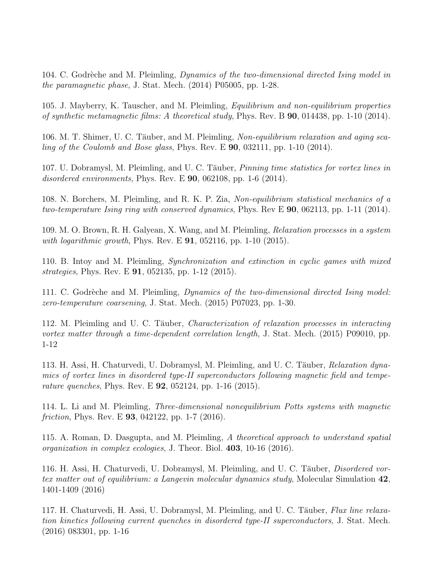104. C. Godrèche and M. Pleimling, *Dynamics of the two-dimensional directed Ising model in* the paramagnetic phase, J. Stat. Mech. (2014) P05005, pp. 1-28.

105. J. Mayberry, K. Tauscher, and M. Pleimling, Equilibrium and non-equilibrium properties of synthetic metamagnetic films: A theoretical study, Phys. Rev. B  $90$ , 014438, pp. 1-10 (2014).

106. M. T. Shimer, U. C. Täuber, and M. Pleimling, Non-equilibrium relaxation and aging scaling of the Coulomb and Bose glass, Phys. Rev. E  $90$ , 032111, pp. 1-10 (2014).

107. U. Dobramysl, M. Pleimling, and U. C. Täuber, *Pinning time statistics for vortex lines in* disordered environments, Phys. Rev. E 90, 062108, pp. 1-6 (2014).

108. N. Borchers, M. Pleimling, and R. K. P. Zia, Non-equilibrium statistical mechanics of a two-temperature Ising ring with conserved dynamics, Phys. Rev E 90, 062113, pp. 1-11 (2014).

109. M. O. Brown, R. H. Galyean, X. Wang, and M. Pleimling, Relaxation processes in a system with logarithmic growth, Phys. Rev. E  $91, 052116$ , pp. 1-10 (2015).

110. B. Intoy and M. Pleimling, Synchronization and extinction in cyclic games with mixed strategies, Phys. Rev. E 91, 052135, pp. 1-12 (2015).

111. C. Godrèche and M. Pleimling, *Dynamics of the two-dimensional directed Ising model:* zero-temperature coarsening, J. Stat. Mech. (2015) P07023, pp. 1-30.

112. M. Pleimling and U. C. Täuber, *Characterization of relaxation processes in interacting* vortex matter through a time-dependent correlation length, J. Stat. Mech. (2015) P09010, pp. 1-12

113. H. Assi, H. Chaturvedi, U. Dobramysl, M. Pleimling, and U. C. Täuber, Relaxation dynamics of vortex lines in disordered type-II superconductors following magnetic field and temperature quenches, Phys. Rev. E 92, 052124, pp. 1-16 (2015).

114. L. Li and M. Pleimling, Three-dimensional nonequilibrium Potts systems with magnetic *friction*, Phys. Rev. E **93**, 042122, pp. 1-7  $(2016)$ .

115. A. Roman, D. Dasgupta, and M. Pleimling, A theoretical approach to understand spatial organization in complex ecologies, J. Theor. Biol. 403, 10-16 (2016).

116. H. Assi, H. Chaturvedi, U. Dobramysl, M. Pleimling, and U. C. Täuber, *Disordered vor*tex matter out of equilibrium: a Langevin molecular dynamics study, Molecular Simulation 42, 1401-1409 (2016)

117. H. Chaturvedi, H. Assi, U. Dobramysl, M. Pleimling, and U. C. Täuber, Flux line relaxation kinetics following current quenches in disordered type-II superconductors, J. Stat. Mech. (2016) 083301, pp. 1-16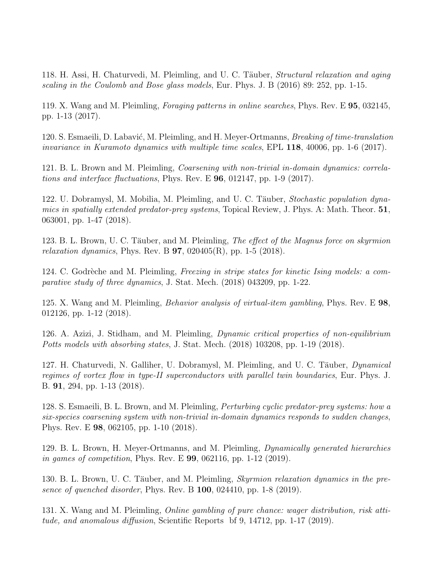118. H. Assi, H. Chaturvedi, M. Pleimling, and U. C. Täuber, Structural relaxation and aging scaling in the Coulomb and Bose glass models, Eur. Phys. J. B (2016) 89: 252, pp. 1-15.

119. X. Wang and M. Pleimling, Foraging patterns in online searches, Phys. Rev. E 95, 032145, pp. 1-13 (2017).

120. S. Esmaeili, D. Labavić, M. Pleimling, and H. Meyer-Ortmanns, *Breaking of time-translation* invariance in Kuramoto dynamics with multiple time scales, EPL 118, 40006, pp. 1-6 (2017).

121. B. L. Brown and M. Pleimling, Coarsening with non-trivial in-domain dynamics: correlations and interface fluctuations, Phys. Rev. E 96, 012147, pp. 1-9 (2017).

122. U. Dobramysl, M. Mobilia, M. Pleimling, and U. C. Täuber, *Stochastic population dyna*mics in spatially extended predator-prey systems, Topical Review, J. Phys. A: Math. Theor. 51, 063001, pp. 1-47 (2018).

123. B. L. Brown, U. C. Täuber, and M. Pleimling, *The effect of the Magnus force on skyrmion relaxation dynamics*, Phys. Rev. B  $97, 020405(R)$ , pp. 1-5 (2018).

124. C. Godrèche and M. Pleimling, *Freezing in stripe states for kinetic Ising models: a com*parative study of three dynamics, J. Stat. Mech. (2018) 043209, pp. 1-22.

125. X. Wang and M. Pleimling, Behavior analysis of virtual-item gambling, Phys. Rev. E 98, 012126, pp. 1-12 (2018).

126. A. Azizi, J. Stidham, and M. Pleimling, Dynamic critical properties of non-equilibrium Potts models with absorbing states, J. Stat. Mech. (2018) 103208, pp. 1-19 (2018).

127. H. Chaturvedi, N. Galliher, U. Dobramysl, M. Pleimling, and U. C. Täuber, *Dynamical* regimes of vortex flow in type-II superconductors with parallel twin boundaries, Eur. Phys. J. B. 91, 294, pp. 1-13 (2018).

128. S. Esmaeili, B. L. Brown, and M. Pleimling, Perturbing cyclic predator-prey systems: how a six-species coarsening system with non-trivial in-domain dynamics responds to sudden changes, Phys. Rev. E 98, 062105, pp. 1-10 (2018).

129. B. L. Brown, H. Meyer-Ortmanns, and M. Pleimling, Dynamically generated hierarchies in games of competition, Phys. Rev. E 99, 062116, pp. 1-12 (2019).

130. B. L. Brown, U. C. Täuber, and M. Pleimling, *Skyrmion relaxation dynamics in the pre*sence of quenched disorder, Phys. Rev. B  $100, 024410$ , pp. 1-8 (2019).

131. X. Wang and M. Pleimling, Online gambling of pure chance: wager distribution, risk attitude, and anomalous diffusion, Scientific Reports bf 9, 14712, pp. 1-17 (2019).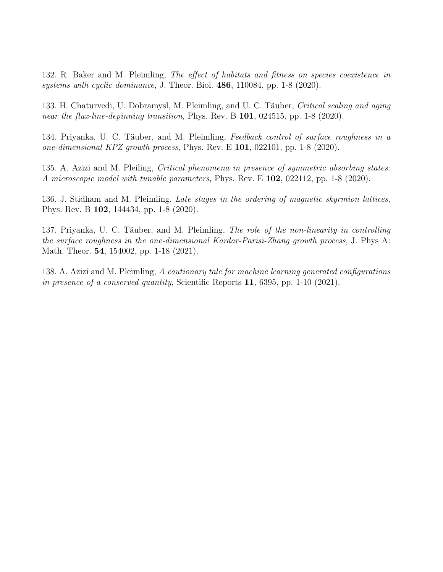132. R. Baker and M. Pleimling, The effect of habitats and fitness on species coexistence in systems with cyclic dominance, J. Theor. Biol.  $486, 110084$ , pp. 1-8 (2020).

133. H. Chaturvedi, U. Dobramysl, M. Pleimling, and U. C. Täuber, Critical scaling and aging near the flux-line-depinning transition, Phys. Rev. B 101, 024515, pp. 1-8 (2020).

134. Priyanka, U. C. Täuber, and M. Pleimling, Feedback control of surface roughness in a one-dimensional KPZ growth process, Phys. Rev. E  $101$ , 022101, pp. 1-8 (2020).

135. A. Azizi and M. Pleiling, Critical phenomena in presence of symmetric absorbing states: A microscopic model with tunable parameters, Phys. Rev. E 102, 022112, pp. 1-8 (2020).

136. J. Stidham and M. Pleimling, Late stages in the ordering of magnetic skyrmion lattices, Phys. Rev. B 102, 144434, pp. 1-8 (2020).

137. Priyanka, U. C. Täuber, and M. Pleimling, The role of the non-linearity in controlling the surface roughness in the one-dimensional Kardar-Parisi-Zhang growth process, J. Phys A: Math. Theor. **54**, 154002, pp. 1-18 (2021).

138. A. Azizi and M. Pleimling, A cautionary tale for machine learning generated configurations in presence of a conserved quantity, Scientific Reports 11, 6395, pp. 1-10 (2021).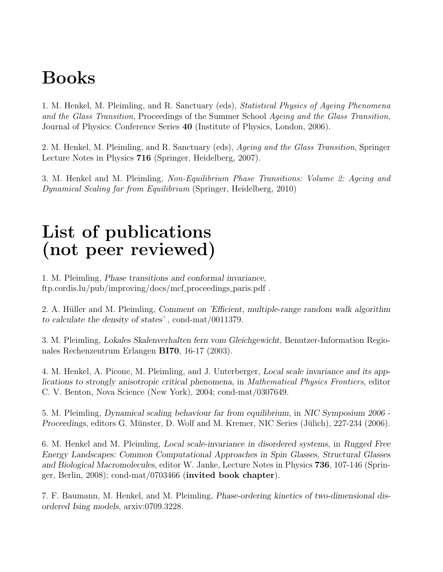## Books

1. M. Henkel, M. Pleimling, and R. Sanctuary (eds), Statistical Physics of Ageing Phenomena and the Glass Transition, Proceedings of the Summer School Ageing and the Glass Transition, Journal of Physics: Conference Series 40 (Institute of Physics, London, 2006).

2. M. Henkel, M. Pleimling, and R. Sanctuary (eds), Ageing and the Glass Transition, Springer Lecture Notes in Physics 716 (Springer, Heidelberg, 2007).

3. M. Henkel and M. Pleimling, Non-Equilibrium Phase Transitions: Volume 2: Ageing and Dynamical Scaling far from Equilibrium (Springer, Heidelberg, 2010)

## List of publications (not peer reviewed)

1. M. Pleimling, Phase transitions and conformal invariance, ftp.cordis.lu/pub/improving/docs/mcf proceedings paris.pdf .

2. A. Hüller and M. Pleimling, Comment on 'Efficient, multiple-range random walk algorithm to calculate the density of states' , cond-mat/0011379.

3. M. Pleimling, Lokales Skalenverhalten fern vom Gleichgewicht, Benutzer-Information Regionales Rechenzentrum Erlangen BI70, 16-17 (2003).

4. M. Henkel, A. Picone, M. Pleimling, and J. Unterberger, Local scale invariance and its applications to strongly anisotropic critical phenomena, in Mathematical Physics Frontiers, editor C. V. Benton, Nova Science (New York), 2004; cond-mat/0307649.

5. M. Pleimling, Dynamical scaling behaviour far from equilibrium, in NIC Symposium 2006 - Proceedings, editors G. Münster, D. Wolf and M. Kremer, NIC Series (Jülich), 227-234 (2006).

6. M. Henkel and M. Pleimling, Local scale-invariance in disordered systems, in Rugged Free Energy Landscapes: Common Computational Approaches in Spin Glasses, Structural Glasses and Biological Macromolecules, editor W. Janke, Lecture Notes in Physics 736, 107-146 (Springer, Berlin, 2008); cond-mat/0703466 (invited book chapter).

7. F. Baumann, M. Henkel, and M. Pleimling, Phase-ordering kinetics of two-dimensional disordered Ising models, arxiv:0709.3228.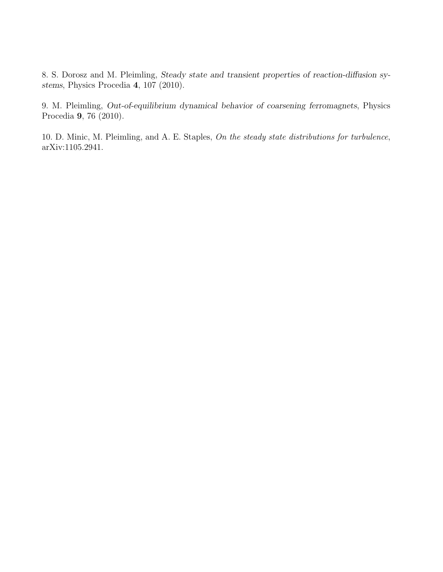8. S. Dorosz and M. Pleimling, Steady state and transient properties of reaction-diffusion systems, Physics Procedia 4, 107 (2010).

9. M. Pleimling, Out-of-equilibrium dynamical behavior of coarsening ferromagnets, Physics Procedia 9, 76 (2010).

10. D. Minic, M. Pleimling, and A. E. Staples, On the steady state distributions for turbulence, arXiv:1105.2941.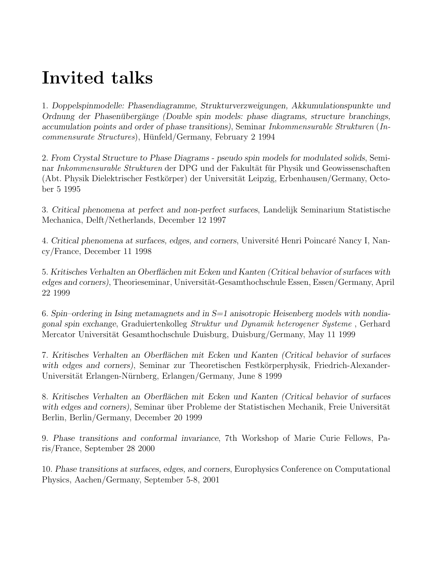## Invited talks

1. Doppelspinmodelle: Phasendiagramme, Strukturverzweigungen, Akkumulationspunkte und Ordnung der Phasenübergänge (Double spin models: phase diagrams, structure branchings, accumulation points and order of phase transitions), Seminar Inkommensurable Strukturen (Incommensurate Structures), Hünfeld/Germany, February 2 1994

2. From Crystal Structure to Phase Diagrams - pseudo spin models for modulated solids, Seminar Inkommensurable Strukturen der DPG und der Fakultät für Physik und Geowissenschaften (Abt. Physik Dielektrischer Festkörper) der Universität Leipzig, Erbenhausen/Germany, October 5 1995

3. Critical phenomena at perfect and non-perfect surfaces, Landelijk Seminarium Statistische Mechanica, Delft/Netherlands, December 12 1997

4. Critical phenomena at surfaces, edges, and corners, Université Henri Poincaré Nancy I, Nancy/France, December 11 1998

5. Kritisches Verhalten an Oberflächen mit Ecken und Kanten (Critical behavior of surfaces with edges and corners), Theorieseminar, Universität-Gesamthochschule Essen, Essen/Germany, April 22 1999

6. Spin–ordering in Ising metamagnets and in  $S=1$  anisotropic Heisenberg models with nondiagonal spin exchange, Graduiertenkolleg Struktur und Dynamik heterogener Systeme , Gerhard Mercator Universität Gesamthochschule Duisburg, Duisburg/Germany, May 11 1999

7. Kritisches Verhalten an Oberflächen mit Ecken und Kanten (Critical behavior of surfaces with edges and corners), Seminar zur Theoretischen Festkörperphysik, Friedrich-Alexander-Universität Erlangen-Nürnberg, Erlangen/Germany, June 8 1999

8. Kritisches Verhalten an Oberflächen mit Ecken und Kanten (Critical behavior of surfaces with edges and corners), Seminar über Probleme der Statistischen Mechanik, Freie Universität Berlin, Berlin/Germany, December 20 1999

9. Phase transitions and conformal invariance, 7th Workshop of Marie Curie Fellows, Paris/France, September 28 2000

10. Phase transitions at surfaces, edges, and corners, Europhysics Conference on Computational Physics, Aachen/Germany, September 5-8, 2001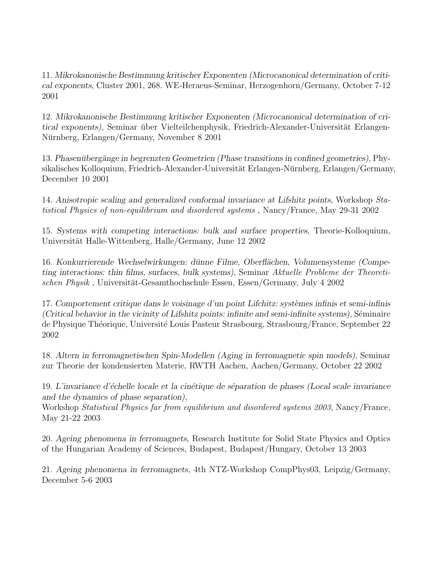11. Mikrokanonische Bestimmung kritischer Exponenten (Microcanonical determination of critical exponents, Cluster 2001, 268. WE-Heraeus-Seminar, Herzogenhorn/Germany, October 7-12 2001

12. Mikrokanonische Bestimmung kritischer Exponenten (Microcanonical determination of critical exponents), Seminar über Vielteilchenphysik, Friedrich-Alexander-Universität Erlangen-Nurnberg, Erlangen/Germany, November 8 2001 ¨

13. Phasenübergänge in begrenzten Geometrien (Phase transitions in confined geometries), Physikalisches Kolloquium, Friedrich-Alexander-Universität Erlangen-Nürnberg, Erlangen/Germany, December 10 2001

14. Anisotropic scaling and generalized conformal invariance at Lifshitz points, Workshop Statistical Physics of non-equilibrium and disordered systems , Nancy/France, May 29-31 2002

15. Systems with competing interactions: bulk and surface properties, Theorie-Kolloquium, Universität Halle-Wittenberg, Halle/Germany, June 12 2002

16. Konkurrierende Wechselwirkungen: dünne Filme, Oberflächen, Volumensysteme (Competing interactions: thin films, surfaces, bulk systems), Seminar Aktuelle Probleme der Theoretischen Physik, Universität-Gesamthochschule Essen, Essen/Germany, July 4 2002

17. Comportement critique dans le voisinage d'un point Lifchitz: systèmes infinis et semi-infinis  $(Critical behavior in the vicinity of Lifshitz points: infinite and semi-infinite systems)$ , Séminaire de Physique Théorique, Université Louis Pasteur Strasbourg, Strasbourg/France, September 22 2002

18. Altern in ferromagnetischen Spin-Modellen (Aging in ferromagnetic spin models), Seminar zur Theorie der kondensierten Materie, RWTH Aachen, Aachen/Germany, October 22 2002

19. L'invariance d'échelle locale et la cinétique de séparation de phases (Local scale invariance and the dynamics of phase separation),

Workshop Statistical Physics far from equilibrium and disordered systems 2003, Nancy/France, May 21-22 2003

20. Ageing phenomena in ferromagnets, Research Institute for Solid State Physics and Optics of the Hungarian Academy of Sciences, Budapest, Budapest/Hungary, October 13 2003

21. Ageing phenomena in ferromagnets, 4th NTZ-Workshop CompPhys03, Leipzig/Germany, December 5-6 2003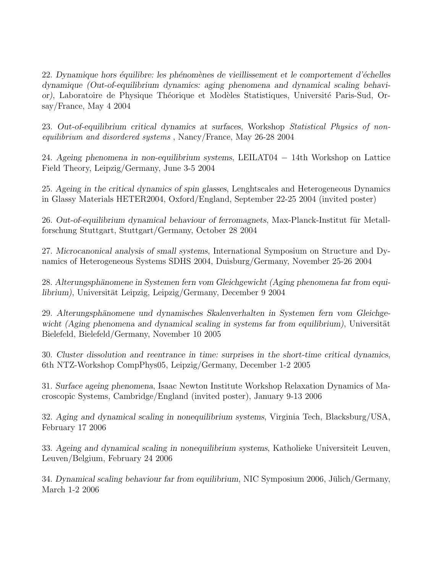22. Dynamique hors équilibre: les phénomènes de vieillissement et le comportement d'échelles dynamique (Out-of-equilibrium dynamics: aging phenomena and dynamical scaling behavior), Laboratoire de Physique Théorique et Modèles Statistiques, Université Paris-Sud, Orsay/France, May 4 2004

23. Out-of-equilibrium critical dynamics at surfaces, Workshop Statistical Physics of nonequilibrium and disordered systems , Nancy/France, May 26-28 2004

24. Ageing phenomena in non-equilibrium systems, LEILAT04 − 14th Workshop on Lattice Field Theory, Leipzig/Germany, June 3-5 2004

25. Ageing in the critical dynamics of spin glasses, Lenghtscales and Heterogeneous Dynamics in Glassy Materials HETER2004, Oxford/England, September 22-25 2004 (invited poster)

26. Out-of-equilibrium dynamical behaviour of ferromagnets, Max-Planck-Institut fur Metall- ¨ forschung Stuttgart, Stuttgart/Germany, October 28 2004

27. Microcanonical analysis of small systems, International Symposium on Structure and Dynamics of Heterogeneous Systems SDHS 2004, Duisburg/Germany, November 25-26 2004

28. Alterungsphänomene in Systemen fern vom Gleichgewicht (Aging phenomena far from equilibrium), Universität Leipzig, Leipzig/Germany, December 9 2004

29. Alterungsphänomene und dynamisches Skalenverhalten in Systemen fern vom Gleichgewicht (Aging phenomena and dynamical scaling in systems far from equilibrium), Universität Bielefeld, Bielefeld/Germany, November 10 2005

30. Cluster dissolution and reentrance in time: surprises in the short-time critical dynamics, 6th NTZ-Workshop CompPhys05, Leipzig/Germany, December 1-2 2005

31. Surface ageing phenomena, Isaac Newton Institute Workshop Relaxation Dynamics of Macroscopic Systems, Cambridge/England (invited poster), January 9-13 2006

32. Aging and dynamical scaling in nonequilibrium systems, Virginia Tech, Blacksburg/USA, February 17 2006

33. Ageing and dynamical scaling in nonequilibrium systems, Katholieke Universiteit Leuven, Leuven/Belgium, February 24 2006

34. Dynamical scaling behaviour far from equilibrium, NIC Symposium 2006, Jülich/Germany, March 1-2 2006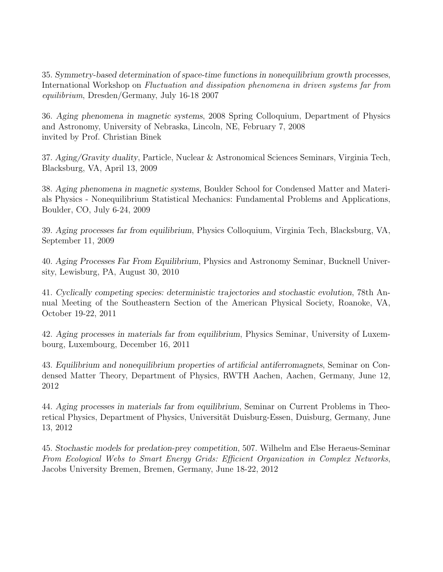35. Symmetry-based determination of space-time functions in nonequilibrium growth processes, International Workshop on Fluctuation and dissipation phenomena in driven systems far from equilibrium, Dresden/Germany, July 16-18 2007

36. Aging phenomena in magnetic systems, 2008 Spring Colloquium, Department of Physics and Astronomy, University of Nebraska, Lincoln, NE, February 7, 2008 invited by Prof. Christian Binek

37. Aging/Gravity duality, Particle, Nuclear & Astronomical Sciences Seminars, Virginia Tech, Blacksburg, VA, April 13, 2009

38. Aging phenomena in magnetic systems, Boulder School for Condensed Matter and Materials Physics - Nonequilibrium Statistical Mechanics: Fundamental Problems and Applications, Boulder, CO, July 6-24, 2009

39. Aging processes far from equilibrium, Physics Colloquium, Virginia Tech, Blacksburg, VA, September 11, 2009

40. Aging Processes Far From Equilibrium, Physics and Astronomy Seminar, Bucknell University, Lewisburg, PA, August 30, 2010

41. Cyclically competing species: deterministic trajectories and stochastic evolution, 78th Annual Meeting of the Southeastern Section of the American Physical Society, Roanoke, VA, October 19-22, 2011

42. Aging processes in materials far from equilibrium, Physics Seminar, University of Luxembourg, Luxembourg, December 16, 2011

43. Equilibrium and nonequilibrium properties of artificial antiferromagnets, Seminar on Condensed Matter Theory, Department of Physics, RWTH Aachen, Aachen, Germany, June 12, 2012

44. Aging processes in materials far from equilibrium, Seminar on Current Problems in Theoretical Physics, Department of Physics, Universität Duisburg-Essen, Duisburg, Germany, June 13, 2012

45. Stochastic models for predation-prey competition, 507. Wilhelm and Else Heraeus-Seminar From Ecological Webs to Smart Energy Grids: Efficient Organization in Complex Networks, Jacobs University Bremen, Bremen, Germany, June 18-22, 2012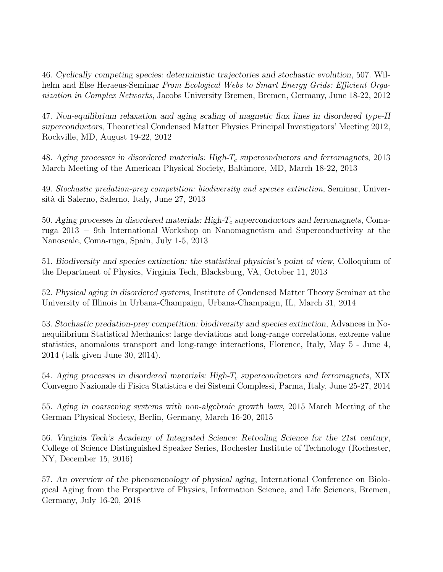46. Cyclically competing species: deterministic trajectories and stochastic evolution, 507. Wilhelm and Else Heraeus-Seminar From Ecological Webs to Smart Energy Grids: Efficient Organization in Complex Networks, Jacobs University Bremen, Bremen, Germany, June 18-22, 2012

47. Non-equilibrium relaxation and aging scaling of magnetic flux lines in disordered type-II superconductors, Theoretical Condensed Matter Physics Principal Investigators' Meeting 2012, Rockville, MD, August 19-22, 2012

48. Aging processes in disordered materials: High- $T_c$  superconductors and ferromagnets, 2013 March Meeting of the American Physical Society, Baltimore, MD, March 18-22, 2013

49. Stochastic predation-prey competition: biodiversity and species extinction, Seminar, Università di Salerno, Salerno, Italy, June 27, 2013

50. Aging processes in disordered materials: High- $T_c$  superconductors and ferromagnets, Comaruga 2013 − 9th International Workshop on Nanomagnetism and Superconductivity at the Nanoscale, Coma-ruga, Spain, July 1-5, 2013

51. Biodiversity and species extinction: the statistical physicist's point of view, Colloquium of the Department of Physics, Virginia Tech, Blacksburg, VA, October 11, 2013

52. Physical aging in disordered systems, Institute of Condensed Matter Theory Seminar at the University of Illinois in Urbana-Champaign, Urbana-Champaign, IL, March 31, 2014

53. Stochastic predation-prey competition: biodiversity and species extinction, Advances in Nonequilibrium Statistical Mechanics: large deviations and long-range correlations, extreme value statistics, anomalous transport and long-range interactions, Florence, Italy, May 5 - June 4, 2014 (talk given June 30, 2014).

54. Aging processes in disordered materials: High- $T_c$  superconductors and ferromagnets, XIX Convegno Nazionale di Fisica Statistica e dei Sistemi Complessi, Parma, Italy, June 25-27, 2014

55. Aging in coarsening systems with non-algebraic growth laws, 2015 March Meeting of the German Physical Society, Berlin, Germany, March 16-20, 2015

56. Virginia Tech's Academy of Integrated Science: Retooling Science for the 21st century, College of Science Distinguished Speaker Series, Rochester Institute of Technology (Rochester, NY, December 15, 2016)

57. An overview of the phenomenology of physical aging, International Conference on Biological Aging from the Perspective of Physics, Information Science, and Life Sciences, Bremen, Germany, July 16-20, 2018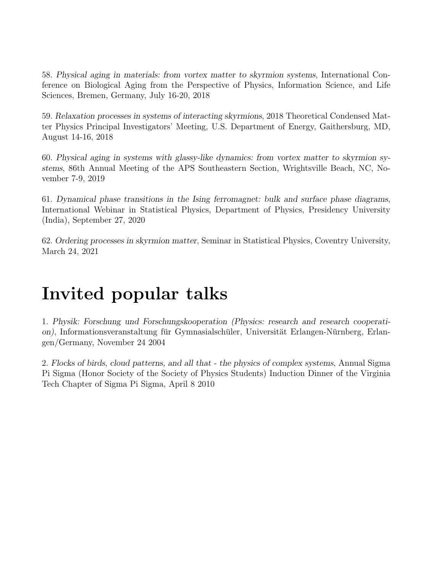58. Physical aging in materials: from vortex matter to skyrmion systems, International Conference on Biological Aging from the Perspective of Physics, Information Science, and Life Sciences, Bremen, Germany, July 16-20, 2018

59. Relaxation processes in systems of interacting skyrmions, 2018 Theoretical Condensed Matter Physics Principal Investigators' Meeting, U.S. Department of Energy, Gaithersburg, MD, August 14-16, 2018

60. Physical aging in systems with glassy-like dynamics: from vortex matter to skyrmion systems, 86th Annual Meeting of the APS Southeastern Section, Wrightsville Beach, NC, November 7-9, 2019

61. Dynamical phase transitions in the Ising ferromagnet: bulk and surface phase diagrams, International Webinar in Statistical Physics, Department of Physics, Presidency University (India), September 27, 2020

62. Ordering processes in skyrmion matter, Seminar in Statistical Physics, Coventry University, March 24, 2021

## Invited popular talks

1. Physik: Forschung und Forschungskooperation (Physics: research and research cooperation), Informationsveranstaltung für Gymnasialschüler, Universität Erlangen-Nürnberg, Erlangen/Germany, November 24 2004

2. Flocks of birds, cloud patterns, and all that - the physics of complex systems, Annual Sigma Pi Sigma (Honor Society of the Society of Physics Students) Induction Dinner of the Virginia Tech Chapter of Sigma Pi Sigma, April 8 2010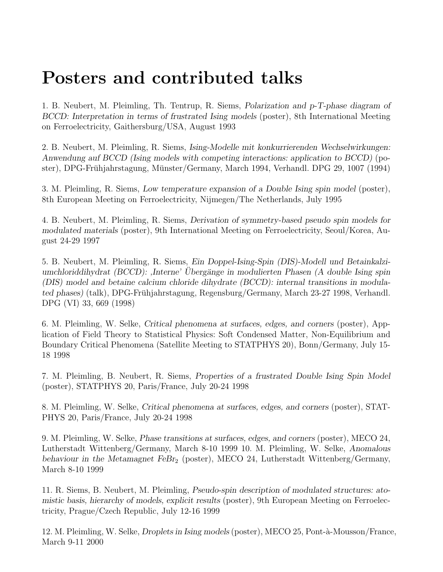## Posters and contributed talks

1. B. Neubert, M. Pleimling, Th. Tentrup, R. Siems, Polarization and p-T-phase diagram of BCCD: Interpretation in terms of frustrated Ising models (poster), 8th International Meeting on Ferroelectricity, Gaithersburg/USA, August 1993

2. B. Neubert, M. Pleimling, R. Siems, Ising-Modelle mit konkurrierenden Wechselwirkungen: Anwendung auf BCCD (Ising models with competing interactions: application to BCCD) (poster), DPG-Frühjahrstagung, Münster/Germany, March 1994, Verhandl. DPG 29, 1007 (1994)

3. M. Pleimling, R. Siems, Low temperature expansion of a Double Ising spin model (poster), 8th European Meeting on Ferroelectricity, Nijmegen/The Netherlands, July 1995

4. B. Neubert, M. Pleimling, R. Siems, Derivation of symmetry-based pseudo spin models for modulated materials (poster), 9th International Meeting on Ferroelectricity, Seoul/Korea, August 24-29 1997

5. B. Neubert, M. Pleimling, R. Siems, Ein Doppel-Ising-Spin (DIS)-Modell und Betainkalziumchloriddihydrat (BCCD): ,Interne' Ubergänge in modulierten Phasen (A double Ising spin (DIS) model and betaine calcium chloride dihydrate (BCCD): internal transitions in modulated phases) (talk), DPG-Fruhjahrstagung, Regensburg/Germany, March 23-27 1998, Verhandl. ¨ DPG (VI) 33, 669 (1998)

6. M. Pleimling, W. Selke, Critical phenomena at surfaces, edges, and corners (poster), Application of Field Theory to Statistical Physics: Soft Condensed Matter, Non-Equilibrium and Boundary Critical Phenomena (Satellite Meeting to STATPHYS 20), Bonn/Germany, July 15- 18 1998

7. M. Pleimling, B. Neubert, R. Siems, Properties of a frustrated Double Ising Spin Model (poster), STATPHYS 20, Paris/France, July 20-24 1998

8. M. Pleimling, W. Selke, Critical phenomena at surfaces, edges, and corners (poster), STAT-PHYS 20, Paris/France, July 20-24 1998

9. M. Pleimling, W. Selke, Phase transitions at surfaces, edges, and corners (poster), MECO 24, Lutherstadt Wittenberg/Germany, March 8-10 1999 10. M. Pleimling, W. Selke, Anomalous behaviour in the Metamagnet FeBr<sub>2</sub> (poster), MECO 24, Lutherstadt Wittenberg/Germany, March 8-10 1999

11. R. Siems, B. Neubert, M. Pleimling, Pseudo-spin description of modulated structures: atomistic basis, hierarchy of models, explicit results (poster), 9th European Meeting on Ferroelectricity, Prague/Czech Republic, July 12-16 1999

12. M. Pleimling, W. Selke, *Droplets in Ising models* (poster), MECO 25, Pont-à-Mousson/France, March 9-11 2000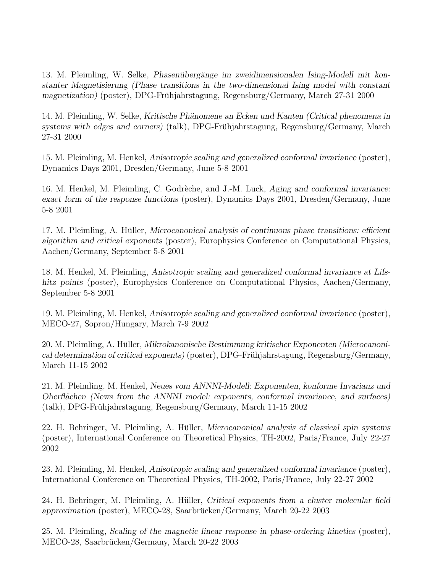13. M. Pleimling, W. Selke, Phasenübergänge im zweidimensionalen Ising-Modell mit konstanter Magnetisierung (Phase transitions in the two-dimensional Ising model with constant magnetization) (poster), DPG-Frühjahrstagung, Regensburg/Germany, March 27-31 2000

14. M. Pleimling, W. Selke, Kritische Phänomene an Ecken und Kanten (Critical phenomena in  $s$ ystems with edges and corners) (talk), DPG-Frühjahrstagung, Regensburg/Germany, March 27-31 2000

15. M. Pleimling, M. Henkel, Anisotropic scaling and generalized conformal invariance (poster), Dynamics Days 2001, Dresden/Germany, June 5-8 2001

16. M. Henkel, M. Pleimling, C. Godrèche, and J.-M. Luck, Aging and conformal invariance: exact form of the response functions (poster), Dynamics Days 2001, Dresden/Germany, June 5-8 2001

17. M. Pleimling, A. Hüller, *Microcanonical analysis of continuous phase transitions: efficient* algorithm and critical exponents (poster), Europhysics Conference on Computational Physics, Aachen/Germany, September 5-8 2001

18. M. Henkel, M. Pleimling, Anisotropic scaling and generalized conformal invariance at Lifshitz points (poster), Europhysics Conference on Computational Physics, Aachen/Germany, September 5-8 2001

19. M. Pleimling, M. Henkel, Anisotropic scaling and generalized conformal invariance (poster), MECO-27, Sopron/Hungary, March 7-9 2002

20. M. Pleimling, A. Hüller, *Mikrokanonische Bestimmung kritischer Exponenten (Microcanoni*cal determination of critical exponents) (poster), DPG-Frühjahrstagung, Regensburg/Germany, March 11-15 2002

21. M. Pleimling, M. Henkel, Neues vom ANNNI-Modell: Exponenten, konforme Invarianz und Oberflächen (News from the ANNNI model: exponents, conformal invariance, and surfaces) (talk), DPG-Fruhjahrstagung, Regensburg/Germany, March 11-15 2002 ¨

22. H. Behringer, M. Pleimling, A. Hüller, *Microcanonical analysis of classical spin systems* (poster), International Conference on Theoretical Physics, TH-2002, Paris/France, July 22-27 2002

23. M. Pleimling, M. Henkel, Anisotropic scaling and generalized conformal invariance (poster), International Conference on Theoretical Physics, TH-2002, Paris/France, July 22-27 2002

24. H. Behringer, M. Pleimling, A. Hüller, Critical exponents from a cluster molecular field approximation (poster), MECO-28, Saarbrucken/Germany, March 20-22 2003 ¨

25. M. Pleimling, Scaling of the magnetic linear response in phase-ordering kinetics (poster), MECO-28, Saarbrücken/Germany, March 20-22 2003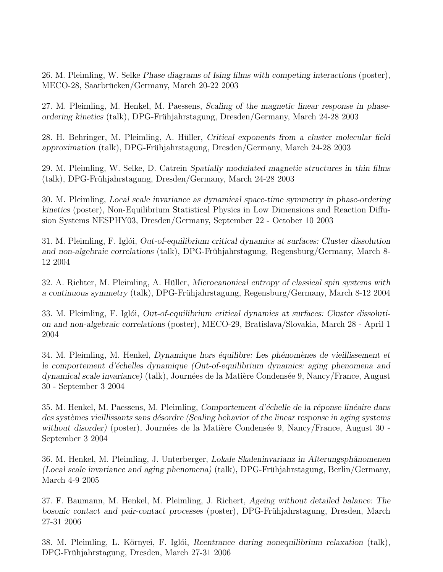26. M. Pleimling, W. Selke Phase diagrams of Ising films with competing interactions (poster), MECO-28, Saarbrücken/Germany, March 20-22 2003

27. M. Pleimling, M. Henkel, M. Paessens, Scaling of the magnetic linear response in phaseordering kinetics (talk), DPG-Fruhjahrstagung, Dresden/Germany, March 24-28 2003 ¨

28. H. Behringer, M. Pleimling, A. Hüller, Critical exponents from a cluster molecular field approximation (talk), DPG-Fruhjahrstagung, Dresden/Germany, March 24-28 2003 ¨

29. M. Pleimling, W. Selke, D. Catrein Spatially modulated magnetic structures in thin films (talk), DPG-Fruhjahrstagung, Dresden/Germany, March 24-28 2003 ¨

30. M. Pleimling, Local scale invariance as dynamical space-time symmetry in phase-ordering kinetics (poster), Non-Equilibrium Statistical Physics in Low Dimensions and Reaction Diffusion Systems NESPHY03, Dresden/Germany, September 22 - October 10 2003

31. M. Pleimling, F. Iglói, *Out-of-equilibrium critical dynamics at surfaces: Cluster dissolution* and non-algebraic correlations (talk), DPG-Frühjahrstagung, Regensburg/Germany, March 8-12 2004

32. A. Richter, M. Pleimling, A. Hüller, *Microcanonical entropy of classical spin systems with* a continuous symmetry (talk), DPG-Fruhjahrstagung, Regensburg/Germany, March 8-12 2004 ¨

33. M. Pleimling, F. Iglói, *Out-of-equilibrium critical dynamics at surfaces: Cluster dissoluti*on and non-algebraic correlations (poster), MECO-29, Bratislava/Slovakia, March 28 - April 1 2004

34. M. Pleimling, M. Henkel, *Dynamique hors équilibre: Les phénomènes de vieillissement et* le comportement d'échelles dynamique (Out-of-equilibrium dynamics: aging phenomena and dynamical scale invariance) (talk), Journées de la Matière Condensée 9, Nancy/France, August 30 - September 3 2004

35. M. Henkel, M. Paessens, M. Pleimling, Comportement d'échelle de la réponse linéaire dans des systèmes vieillissants sans désordre (Scaling behavior of the linear response in aging systems without disorder) (poster), Journées de la Matière Condensée 9, Nancy/France, August  $30$  -September 3 2004

36. M. Henkel, M. Pleimling, J. Unterberger, Lokale Skaleninvarianz in Alterungsphänomenen (Local scale invariance and aging phenomena) (talk), DPG-Frühjahrstagung, Berlin/Germany, March 4-9 2005

37. F. Baumann, M. Henkel, M. Pleimling, J. Richert, Ageing without detailed balance: The bosonic contact and pair-contact processes (poster), DPG-Frühjahrstagung, Dresden, March 27-31 2006

38. M. Pleimling, L. Környei, F. Iglói, Reentrance during nonequilibrium relaxation (talk), DPG-Fruhjahrstagung, Dresden, March 27-31 2006 ¨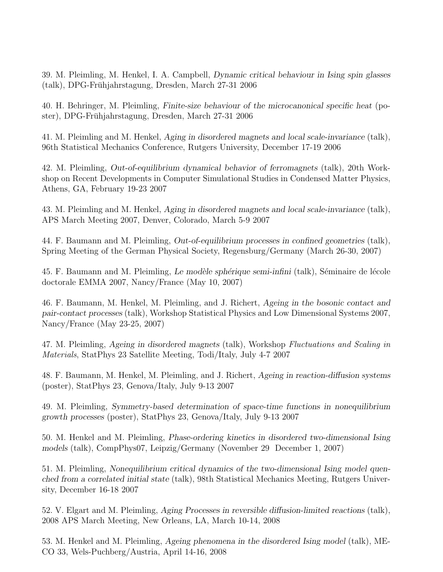39. M. Pleimling, M. Henkel, I. A. Campbell, Dynamic critical behaviour in Ising spin glasses (talk), DPG-Fruhjahrstagung, Dresden, March 27-31 2006 ¨

40. H. Behringer, M. Pleimling, Finite-size behaviour of the microcanonical specific heat (poster), DPG-Frühjahrstagung, Dresden, March 27-31 2006

41. M. Pleimling and M. Henkel, Aging in disordered magnets and local scale-invariance (talk), 96th Statistical Mechanics Conference, Rutgers University, December 17-19 2006

42. M. Pleimling, Out-of-equilibrium dynamical behavior of ferromagnets (talk), 20th Workshop on Recent Developments in Computer Simulational Studies in Condensed Matter Physics, Athens, GA, February 19-23 2007

43. M. Pleimling and M. Henkel, Aging in disordered magnets and local scale-invariance (talk), APS March Meeting 2007, Denver, Colorado, March 5-9 2007

44. F. Baumann and M. Pleimling, Out-of-equilibrium processes in confined geometries (talk), Spring Meeting of the German Physical Society, Regensburg/Germany (March 26-30, 2007)

45. F. Baumann and M. Pleimling, Le modèle sphérique semi-infini (talk), Séminaire de lécole doctorale EMMA 2007, Nancy/France (May 10, 2007)

46. F. Baumann, M. Henkel, M. Pleimling, and J. Richert, Ageing in the bosonic contact and pair-contact processes (talk), Workshop Statistical Physics and Low Dimensional Systems 2007, Nancy/France (May 23-25, 2007)

47. M. Pleimling, Ageing in disordered magnets (talk), Workshop Fluctuations and Scaling in Materials, StatPhys 23 Satellite Meeting, Todi/Italy, July 4-7 2007

48. F. Baumann, M. Henkel, M. Pleimling, and J. Richert, Ageing in reaction-diffusion systems (poster), StatPhys 23, Genova/Italy, July 9-13 2007

49. M. Pleimling, Symmetry-based determination of space-time functions in nonequilibrium growth processes (poster), StatPhys 23, Genova/Italy, July 9-13 2007

50. M. Henkel and M. Pleimling, Phase-ordering kinetics in disordered two-dimensional Ising models (talk), CompPhys07, Leipzig/Germany (November 29 December 1, 2007)

51. M. Pleimling, Nonequilibrium critical dynamics of the two-dimensional Ising model quenched from a correlated initial state (talk), 98th Statistical Mechanics Meeting, Rutgers University, December 16-18 2007

52. V. Elgart and M. Pleimling, Aging Processes in reversible diffusion-limited reactions (talk), 2008 APS March Meeting, New Orleans, LA, March 10-14, 2008

53. M. Henkel and M. Pleimling, Ageing phenomena in the disordered Ising model (talk), ME-CO 33, Wels-Puchberg/Austria, April 14-16, 2008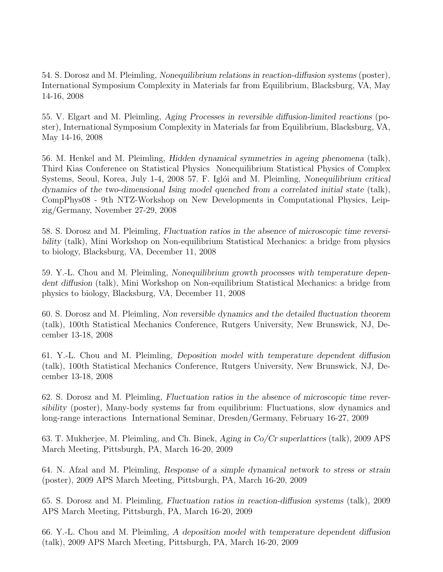54. S. Dorosz and M. Pleimling, Nonequilibrium relations in reaction-diffusion systems (poster), International Symposium Complexity in Materials far from Equilibrium, Blacksburg, VA, May 14-16, 2008

55. V. Elgart and M. Pleimling, Aging Processes in reversible diffusion-limited reactions (poster), International Symposium Complexity in Materials far from Equilibrium, Blacksburg, VA, May 14-16, 2008

56. M. Henkel and M. Pleimling, Hidden dynamical symmetries in ageing phenomena (talk), Third Kias Conference on Statistical Physics Nonequilibrium Statistical Physics of Complex Systems, Seoul, Korea, July 1-4, 2008 57. F. Iglói and M. Pleimling, Nonequilibrium critical dynamics of the two-dimensional Ising model quenched from a correlated initial state (talk), CompPhys08 - 9th NTZ-Workshop on New Developments in Computational Physics, Leipzig/Germany, November 27-29, 2008

58. S. Dorosz and M. Pleimling, Fluctuation ratios in the absence of microscopic time reversibility (talk), Mini Workshop on Non-equilibrium Statistical Mechanics: a bridge from physics to biology, Blacksburg, VA, December 11, 2008

59. Y.-L. Chou and M. Pleimling, Nonequilibrium growth processes with temperature dependent diffusion (talk), Mini Workshop on Non-equilibrium Statistical Mechanics: a bridge from physics to biology, Blacksburg, VA, December 11, 2008

60. S. Dorosz and M. Pleimling, Non reversible dynamics and the detailed fluctuation theorem (talk), 100th Statistical Mechanics Conference, Rutgers University, New Brunswick, NJ, December 13-18, 2008

61. Y.-L. Chou and M. Pleimling, Deposition model with temperature dependent diffusion (talk), 100th Statistical Mechanics Conference, Rutgers University, New Brunswick, NJ, December 13-18, 2008

62. S. Dorosz and M. Pleimling, Fluctuation ratios in the absence of microscopic time reversibility (poster), Many-body systems far from equilibrium: Fluctuations, slow dynamics and long-range interactions International Seminar, Dresden/Germany, February 16-27, 2009

63. T. Mukherjee, M. Pleimling, and Ch. Binek, Aging in Co/Cr superlattices (talk), 2009 APS March Meeting, Pittsburgh, PA, March 16-20, 2009

64. N. Afzal and M. Pleimling, Response of a simple dynamical network to stress or strain (poster), 2009 APS March Meeting, Pittsburgh, PA, March 16-20, 2009

65. S. Dorosz and M. Pleimling, Fluctuation ratios in reaction-diffusion systems (talk), 2009 APS March Meeting, Pittsburgh, PA, March 16-20, 2009

66. Y.-L. Chou and M. Pleimling, A deposition model with temperature dependent diffusion (talk), 2009 APS March Meeting, Pittsburgh, PA, March 16-20, 2009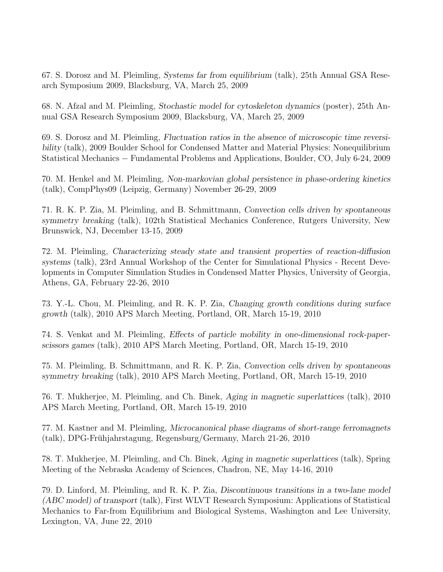67. S. Dorosz and M. Pleimling, Systems far from equilibrium (talk), 25th Annual GSA Research Symposium 2009, Blacksburg, VA, March 25, 2009

68. N. Afzal and M. Pleimling, Stochastic model for cytoskeleton dynamics (poster), 25th Annual GSA Research Symposium 2009, Blacksburg, VA, March 25, 2009

69. S. Dorosz and M. Pleimling, Fluctuation ratios in the absence of microscopic time reversibility (talk), 2009 Boulder School for Condensed Matter and Material Physics: Nonequilibrium Statistical Mechanics − Fundamental Problems and Applications, Boulder, CO, July 6-24, 2009

70. M. Henkel and M. Pleimling, Non-markovian global persistence in phase-ordering kinetics (talk), CompPhys09 (Leipzig, Germany) November 26-29, 2009

71. R. K. P. Zia, M. Pleimling, and B. Schmittmann, Convection cells driven by spontaneous symmetry breaking (talk), 102th Statistical Mechanics Conference, Rutgers University, New Brunswick, NJ, December 13-15, 2009

72. M. Pleimling, Characterizing steady state and transient properties of reaction-diffusion systems (talk), 23rd Annual Workshop of the Center for Simulational Physics - Recent Developments in Computer Simulation Studies in Condensed Matter Physics, University of Georgia, Athens, GA, February 22-26, 2010

73. Y.-L. Chou, M. Pleimling, and R. K. P. Zia, Changing growth conditions during surface growth (talk), 2010 APS March Meeting, Portland, OR, March 15-19, 2010

74. S. Venkat and M. Pleimling, Effects of particle mobility in one-dimensional rock-paperscissors games (talk), 2010 APS March Meeting, Portland, OR, March 15-19, 2010

75. M. Pleimling, B. Schmittmann, and R. K. P. Zia, Convection cells driven by spontaneous symmetry breaking (talk), 2010 APS March Meeting, Portland, OR, March 15-19, 2010

76. T. Mukherjee, M. Pleimling, and Ch. Binek, Aging in magnetic superlattices (talk), 2010 APS March Meeting, Portland, OR, March 15-19, 2010

77. M. Kastner and M. Pleimling, Microcanonical phase diagrams of short-range ferromagnets (talk), DPG-Fruhjahrstagung, Regensburg/Germany, March 21-26, 2010 ¨

78. T. Mukherjee, M. Pleimling, and Ch. Binek, Aging in magnetic superlattices (talk), Spring Meeting of the Nebraska Academy of Sciences, Chadron, NE, May 14-16, 2010

79. D. Linford, M. Pleimling, and R. K. P. Zia, Discontinuous transitions in a two-lane model (ABC model) of transport (talk), First WLVT Research Symposium: Applications of Statistical Mechanics to Far-from Equilibrium and Biological Systems, Washington and Lee University, Lexington, VA, June 22, 2010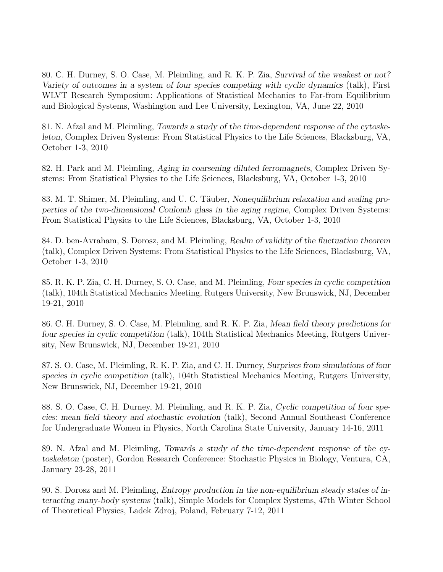80. C. H. Durney, S. O. Case, M. Pleimling, and R. K. P. Zia, Survival of the weakest or not? Variety of outcomes in a system of four species competing with cyclic dynamics (talk), First WLVT Research Symposium: Applications of Statistical Mechanics to Far-from Equilibrium and Biological Systems, Washington and Lee University, Lexington, VA, June 22, 2010

81. N. Afzal and M. Pleimling, Towards a study of the time-dependent response of the cytoskeleton, Complex Driven Systems: From Statistical Physics to the Life Sciences, Blacksburg, VA, October 1-3, 2010

82. H. Park and M. Pleimling, Aging in coarsening diluted ferromagnets, Complex Driven Systems: From Statistical Physics to the Life Sciences, Blacksburg, VA, October 1-3, 2010

83. M. T. Shimer, M. Pleimling, and U. C. Täuber, Nonequilibrium relaxation and scaling properties of the two-dimensional Coulomb glass in the aging regime, Complex Driven Systems: From Statistical Physics to the Life Sciences, Blacksburg, VA, October 1-3, 2010

84. D. ben-Avraham, S. Dorosz, and M. Pleimling, Realm of validity of the fluctuation theorem (talk), Complex Driven Systems: From Statistical Physics to the Life Sciences, Blacksburg, VA, October 1-3, 2010

85. R. K. P. Zia, C. H. Durney, S. O. Case, and M. Pleimling, Four species in cyclic competition (talk), 104th Statistical Mechanics Meeting, Rutgers University, New Brunswick, NJ, December 19-21, 2010

86. C. H. Durney, S. O. Case, M. Pleimling, and R. K. P. Zia, Mean field theory predictions for four species in cyclic competition (talk), 104th Statistical Mechanics Meeting, Rutgers University, New Brunswick, NJ, December 19-21, 2010

87. S. O. Case, M. Pleimling, R. K. P. Zia, and C. H. Durney, Surprises from simulations of four species in cyclic competition (talk), 104th Statistical Mechanics Meeting, Rutgers University, New Brunswick, NJ, December 19-21, 2010

88. S. O. Case, C. H. Durney, M. Pleimling, and R. K. P. Zia, Cyclic competition of four species: mean field theory and stochastic evolution (talk), Second Annual Southeast Conference for Undergraduate Women in Physics, North Carolina State University, January 14-16, 2011

89. N. Afzal and M. Pleimling, Towards a study of the time-dependent response of the cytoskeleton (poster), Gordon Research Conference: Stochastic Physics in Biology, Ventura, CA, January 23-28, 2011

90. S. Dorosz and M. Pleimling, Entropy production in the non-equilibrium steady states of interacting many-body systems (talk), Simple Models for Complex Systems, 47th Winter School of Theoretical Physics, Ladek Zdroj, Poland, February 7-12, 2011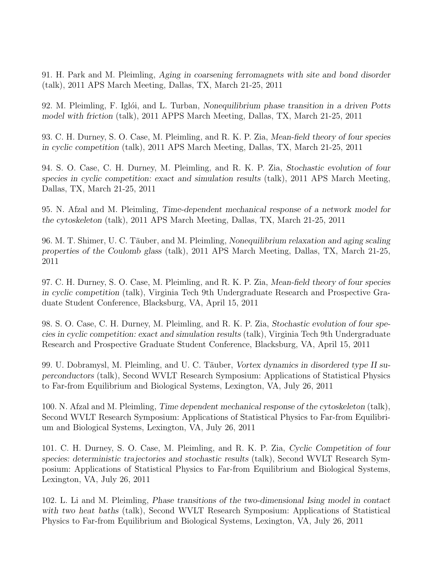91. H. Park and M. Pleimling, Aging in coarsening ferromagnets with site and bond disorder (talk), 2011 APS March Meeting, Dallas, TX, March 21-25, 2011

92. M. Pleimling, F. Iglói, and L. Turban, Nonequilibrium phase transition in a driven Potts model with friction (talk), 2011 APPS March Meeting, Dallas, TX, March 21-25, 2011

93. C. H. Durney, S. O. Case, M. Pleimling, and R. K. P. Zia, Mean-field theory of four species in cyclic competition (talk), 2011 APS March Meeting, Dallas, TX, March 21-25, 2011

94. S. O. Case, C. H. Durney, M. Pleimling, and R. K. P. Zia, Stochastic evolution of four species in cyclic competition: exact and simulation results (talk), 2011 APS March Meeting, Dallas, TX, March 21-25, 2011

95. N. Afzal and M. Pleimling, Time-dependent mechanical response of a network model for the cytoskeleton (talk), 2011 APS March Meeting, Dallas, TX, March 21-25, 2011

96. M. T. Shimer, U. C. Täuber, and M. Pleimling, Nonequilibrium relaxation and aging scaling properties of the Coulomb glass (talk), 2011 APS March Meeting, Dallas, TX, March 21-25, 2011

97. C. H. Durney, S. O. Case, M. Pleimling, and R. K. P. Zia, Mean-field theory of four species in cyclic competition (talk), Virginia Tech 9th Undergraduate Research and Prospective Graduate Student Conference, Blacksburg, VA, April 15, 2011

98. S. O. Case, C. H. Durney, M. Pleimling, and R. K. P. Zia, Stochastic evolution of four species in cyclic competition: exact and simulation results (talk), Virginia Tech 9th Undergraduate Research and Prospective Graduate Student Conference, Blacksburg, VA, April 15, 2011

99. U. Dobramysl, M. Pleimling, and U. C. Täuber, Vortex dynamics in disordered type II superconductors (talk), Second WVLT Research Symposium: Applications of Statistical Physics to Far-from Equilibrium and Biological Systems, Lexington, VA, July 26, 2011

100. N. Afzal and M. Pleimling, Time dependent mechanical response of the cytoskeleton (talk), Second WVLT Research Symposium: Applications of Statistical Physics to Far-from Equilibrium and Biological Systems, Lexington, VA, July 26, 2011

101. C. H. Durney, S. O. Case, M. Pleimling, and R. K. P. Zia, Cyclic Competition of four species: deterministic trajectories and stochastic results (talk), Second WVLT Research Symposium: Applications of Statistical Physics to Far-from Equilibrium and Biological Systems, Lexington, VA, July 26, 2011

102. L. Li and M. Pleimling, Phase transitions of the two-dimensional Ising model in contact with two heat baths (talk), Second WVLT Research Symposium: Applications of Statistical Physics to Far-from Equilibrium and Biological Systems, Lexington, VA, July 26, 2011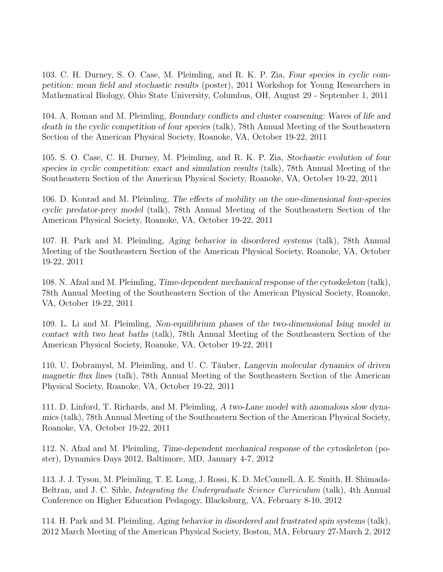103. C. H. Durney, S. O. Case, M. Pleimling, and R. K. P. Zia, Four species in cyclic competition: mean field and stochastic results (poster), 2011 Workshop for Young Researchers in Mathematical Biology, Ohio State University, Columbus, OH, August 29 - September 1, 2011

104. A. Roman and M. Pleimling, Boundary conflicts and cluster coarsening: Waves of life and death in the cyclic competition of four species (talk), 78th Annual Meeting of the Southeastern Section of the American Physical Society, Roanoke, VA, October 19-22, 2011

105. S. O. Case, C. H. Durney, M. Pleimling, and R. K. P. Zia, Stochastic evolution of four species in cyclic competition: exact and simulation results (talk), 78th Annual Meeting of the Southeastern Section of the American Physical Society, Roanoke, VA, October 19-22, 2011

106. D. Konrad and M. Pleimling, The effects of mobility on the one-dimensional four-species cyclic predator-prey model (talk), 78th Annual Meeting of the Southeastern Section of the American Physical Society, Roanoke, VA, October 19-22, 2011

107. H. Park and M. Pleimling, Aging behavior in disordered systems (talk), 78th Annual Meeting of the Southeastern Section of the American Physical Society, Roanoke, VA, October 19-22, 2011

108. N. Afzal and M. Pleimling, Time-dependent mechanical response of the cytoskeleton (talk), 78th Annual Meeting of the Southeastern Section of the American Physical Society, Roanoke, VA, October 19-22, 2011

109. L. Li and M. Pleimling, Non-equilibrium phases of the two-dimensional Ising model in contact with two heat baths (talk), 78th Annual Meeting of the Southeastern Section of the American Physical Society, Roanoke, VA, October 19-22, 2011

110. U. Dobramysl, M. Pleimling, and U. C. Täuber, Langevin molecular dynamics of driven magnetic flux lines (talk), 78th Annual Meeting of the Southeastern Section of the American Physical Society, Roanoke, VA, October 19-22, 2011

111. D. Linford, T. Richards, and M. Pleimling, A two-Lane model with anomalous slow dynamics (talk), 78th Annual Meeting of the Southeastern Section of the American Physical Society, Roanoke, VA, October 19-22, 2011

112. N. Afzal and M. Pleimling, Time-dependent mechanical response of the cytoskeleton (poster), Dynamics Days 2012, Baltimore, MD, January 4-7, 2012

113. J. J. Tyson, M. Pleimling, T. E. Long, J. Rossi, K. D. McConnell, A. E. Smith, H. Shimada-Beltran, and J. C. Sible, *Integrating the Undergraduate Science Curriculum* (talk), 4th Annual Conference on Higher Education Pedagogy, Blacksburg, VA, February 8-10, 2012

114. H. Park and M. Pleimling, Aging behavior in disordered and frustrated spin systems (talk), 2012 March Meeting of the American Physical Society, Boston, MA, February 27-March 2, 2012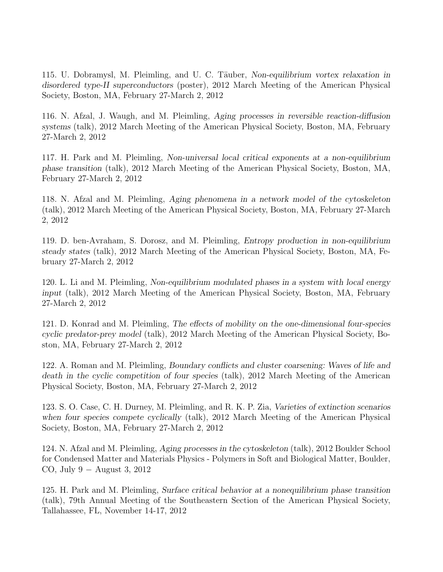115. U. Dobramysl, M. Pleimling, and U. C. Täuber, Non-equilibrium vortex relaxation in disordered type-II superconductors (poster), 2012 March Meeting of the American Physical Society, Boston, MA, February 27-March 2, 2012

116. N. Afzal, J. Waugh, and M. Pleimling, Aging processes in reversible reaction-diffusion systems (talk), 2012 March Meeting of the American Physical Society, Boston, MA, February 27-March 2, 2012

117. H. Park and M. Pleimling, Non-universal local critical exponents at a non-equilibrium phase transition (talk), 2012 March Meeting of the American Physical Society, Boston, MA, February 27-March 2, 2012

118. N. Afzal and M. Pleimling, Aging phenomena in a network model of the cytoskeleton (talk), 2012 March Meeting of the American Physical Society, Boston, MA, February 27-March 2, 2012

119. D. ben-Avraham, S. Dorosz, and M. Pleimling, Entropy production in non-equilibrium steady states (talk), 2012 March Meeting of the American Physical Society, Boston, MA, February 27-March 2, 2012

120. L. Li and M. Pleimling, Non-equilibrium modulated phases in a system with local energy input (talk), 2012 March Meeting of the American Physical Society, Boston, MA, February 27-March 2, 2012

121. D. Konrad and M. Pleimling, The effects of mobility on the one-dimensional four-species cyclic predator-prey model (talk), 2012 March Meeting of the American Physical Society, Boston, MA, February 27-March 2, 2012

122. A. Roman and M. Pleimling, Boundary conflicts and cluster coarsening: Waves of life and death in the cyclic competition of four species (talk), 2012 March Meeting of the American Physical Society, Boston, MA, February 27-March 2, 2012

123. S. O. Case, C. H. Durney, M. Pleimling, and R. K. P. Zia, Varieties of extinction scenarios when four species compete cyclically (talk), 2012 March Meeting of the American Physical Society, Boston, MA, February 27-March 2, 2012

124. N. Afzal and M. Pleimling, Aging processes in the cytoskeleton (talk), 2012 Boulder School for Condensed Matter and Materials Physics - Polymers in Soft and Biological Matter, Boulder, CO, July  $9 -$  August 3, 2012

125. H. Park and M. Pleimling, Surface critical behavior at a nonequilibrium phase transition (talk), 79th Annual Meeting of the Southeastern Section of the American Physical Society, Tallahassee, FL, November 14-17, 2012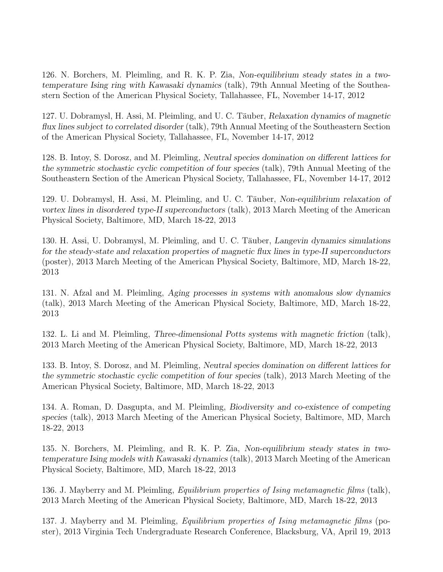126. N. Borchers, M. Pleimling, and R. K. P. Zia, Non-equilibrium steady states in a twotemperature Ising ring with Kawasaki dynamics (talk), 79th Annual Meeting of the Southeastern Section of the American Physical Society, Tallahassee, FL, November 14-17, 2012

127. U. Dobramysl, H. Assi, M. Pleimling, and U. C. Täuber, Relaxation dynamics of magnetic flux lines subject to correlated disorder (talk), 79th Annual Meeting of the Southeastern Section of the American Physical Society, Tallahassee, FL, November 14-17, 2012

128. B. Intoy, S. Dorosz, and M. Pleimling, Neutral species domination on different lattices for the symmetric stochastic cyclic competition of four species (talk), 79th Annual Meeting of the Southeastern Section of the American Physical Society, Tallahassee, FL, November 14-17, 2012

129. U. Dobramysl, H. Assi, M. Pleimling, and U. C. Täuber, Non-equilibrium relaxation of vortex lines in disordered type-II superconductors (talk), 2013 March Meeting of the American Physical Society, Baltimore, MD, March 18-22, 2013

130. H. Assi, U. Dobramysl, M. Pleimling, and U. C. Täuber, Langevin dynamics simulations for the steady-state and relaxation properties of magnetic flux lines in type-II superconductors (poster), 2013 March Meeting of the American Physical Society, Baltimore, MD, March 18-22, 2013

131. N. Afzal and M. Pleimling, Aging processes in systems with anomalous slow dynamics (talk), 2013 March Meeting of the American Physical Society, Baltimore, MD, March 18-22, 2013

132. L. Li and M. Pleimling, Three-dimensional Potts systems with magnetic friction (talk), 2013 March Meeting of the American Physical Society, Baltimore, MD, March 18-22, 2013

133. B. Intoy, S. Dorosz, and M. Pleimling, Neutral species domination on different lattices for the symmetric stochastic cyclic competition of four species (talk), 2013 March Meeting of the American Physical Society, Baltimore, MD, March 18-22, 2013

134. A. Roman, D. Dasgupta, and M. Pleimling, Biodiversity and co-existence of competing species (talk), 2013 March Meeting of the American Physical Society, Baltimore, MD, March 18-22, 2013

135. N. Borchers, M. Pleimling, and R. K. P. Zia, Non-equilibrium steady states in twotemperature Ising models with Kawasaki dynamics (talk), 2013 March Meeting of the American Physical Society, Baltimore, MD, March 18-22, 2013

136. J. Mayberry and M. Pleimling, Equilibrium properties of Ising metamagnetic films (talk), 2013 March Meeting of the American Physical Society, Baltimore, MD, March 18-22, 2013

137. J. Mayberry and M. Pleimling, Equilibrium properties of Ising metamagnetic films (poster), 2013 Virginia Tech Undergraduate Research Conference, Blacksburg, VA, April 19, 2013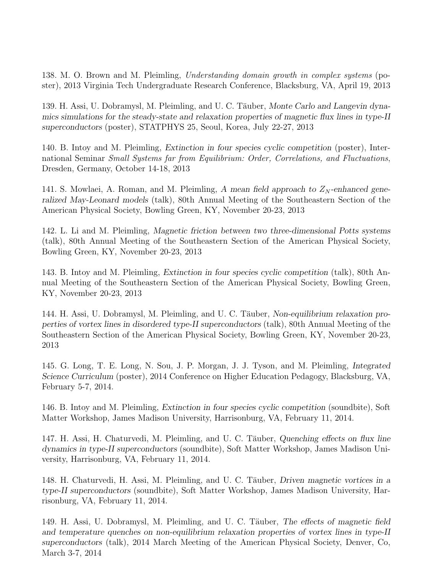138. M. O. Brown and M. Pleimling, Understanding domain growth in complex systems (poster), 2013 Virginia Tech Undergraduate Research Conference, Blacksburg, VA, April 19, 2013

139. H. Assi, U. Dobramysl, M. Pleimling, and U. C. Täuber, Monte Carlo and Langevin dynamics simulations for the steady-state and relaxation properties of magnetic flux lines in type-II superconductors (poster), STATPHYS 25, Seoul, Korea, July 22-27, 2013

140. B. Intoy and M. Pleimling, Extinction in four species cyclic competition (poster), International Seminar Small Systems far from Equilibrium: Order, Correlations, and Fluctuations, Dresden, Germany, October 14-18, 2013

141. S. Mowlaei, A. Roman, and M. Pleimling, A mean field approach to  $Z_N$ -enhanced generalized May-Leonard models (talk), 80th Annual Meeting of the Southeastern Section of the American Physical Society, Bowling Green, KY, November 20-23, 2013

142. L. Li and M. Pleimling, Magnetic friction between two three-dimensional Potts systems (talk), 80th Annual Meeting of the Southeastern Section of the American Physical Society, Bowling Green, KY, November 20-23, 2013

143. B. Intoy and M. Pleimling, Extinction in four species cyclic competition (talk), 80th Annual Meeting of the Southeastern Section of the American Physical Society, Bowling Green, KY, November 20-23, 2013

144. H. Assi, U. Dobramysl, M. Pleimling, and U. C. Täuber, Non-equilibrium relaxation properties of vortex lines in disordered type-II superconductors (talk), 80th Annual Meeting of the Southeastern Section of the American Physical Society, Bowling Green, KY, November 20-23, 2013

145. G. Long, T. E. Long, N. Sou, J. P. Morgan, J. J. Tyson, and M. Pleimling, Integrated Science Curriculum (poster), 2014 Conference on Higher Education Pedagogy, Blacksburg, VA, February 5-7, 2014.

146. B. Intoy and M. Pleimling, Extinction in four species cyclic competition (soundbite), Soft Matter Workshop, James Madison University, Harrisonburg, VA, February 11, 2014.

147. H. Assi, H. Chaturvedi, M. Pleimling, and U. C. Täuber, Quenching effects on flux line dynamics in type-II superconductors (soundbite), Soft Matter Workshop, James Madison University, Harrisonburg, VA, February 11, 2014.

148. H. Chaturvedi, H. Assi, M. Pleimling, and U. C. Täuber, Driven magnetic vortices in a type-II superconductors (soundbite), Soft Matter Workshop, James Madison University, Harrisonburg, VA, February 11, 2014.

149. H. Assi, U. Dobramysl, M. Pleimling, and U. C. Täuber, The effects of magnetic field and temperature quenches on non-equilibrium relaxation properties of vortex lines in type-II superconductors (talk), 2014 March Meeting of the American Physical Society, Denver, Co, March 3-7, 2014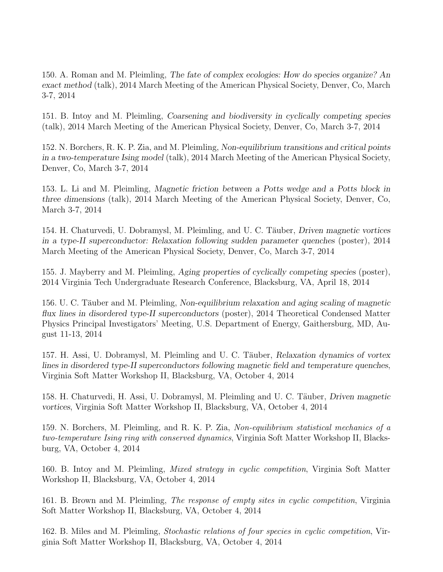150. A. Roman and M. Pleimling, The fate of complex ecologies: How do species organize? An exact method (talk), 2014 March Meeting of the American Physical Society, Denver, Co, March 3-7, 2014

151. B. Intoy and M. Pleimling, Coarsening and biodiversity in cyclically competing species (talk), 2014 March Meeting of the American Physical Society, Denver, Co, March 3-7, 2014

152. N. Borchers, R. K. P. Zia, and M. Pleimling, Non-equilibrium transitions and critical points in a two-temperature Ising model (talk), 2014 March Meeting of the American Physical Society, Denver, Co, March 3-7, 2014

153. L. Li and M. Pleimling, Magnetic friction between a Potts wedge and a Potts block in three dimensions (talk), 2014 March Meeting of the American Physical Society, Denver, Co, March 3-7, 2014

154. H. Chaturvedi, U. Dobramysl, M. Pleimling, and U. C. Täuber, *Driven magnetic vortices* in a type-II superconductor: Relaxation following sudden parameter quenches (poster), 2014 March Meeting of the American Physical Society, Denver, Co, March 3-7, 2014

155. J. Mayberry and M. Pleimling, Aging properties of cyclically competing species (poster), 2014 Virginia Tech Undergraduate Research Conference, Blacksburg, VA, April 18, 2014

156. U. C. Täuber and M. Pleimling, Non-equilibrium relaxation and aging scaling of magnetic flux lines in disordered type-II superconductors (poster), 2014 Theoretical Condensed Matter Physics Principal Investigators' Meeting, U.S. Department of Energy, Gaithersburg, MD, August 11-13, 2014

157. H. Assi, U. Dobramysl, M. Pleimling and U. C. Täuber, Relaxation dynamics of vortex lines in disordered type-II superconductors following magnetic field and temperature quenches, Virginia Soft Matter Workshop II, Blacksburg, VA, October 4, 2014

158. H. Chaturvedi, H. Assi, U. Dobramysl, M. Pleimling and U. C. Täuber, *Driven magnetic* vortices, Virginia Soft Matter Workshop II, Blacksburg, VA, October 4, 2014

159. N. Borchers, M. Pleimling, and R. K. P. Zia, Non-equilibrium statistical mechanics of a two-temperature Ising ring with conserved dynamics, Virginia Soft Matter Workshop II, Blacksburg, VA, October 4, 2014

160. B. Intoy and M. Pleimling, Mixed strategy in cyclic competition, Virginia Soft Matter Workshop II, Blacksburg, VA, October 4, 2014

161. B. Brown and M. Pleimling, The response of empty sites in cyclic competition, Virginia Soft Matter Workshop II, Blacksburg, VA, October 4, 2014

162. B. Miles and M. Pleimling, Stochastic relations of four species in cyclic competition, Virginia Soft Matter Workshop II, Blacksburg, VA, October 4, 2014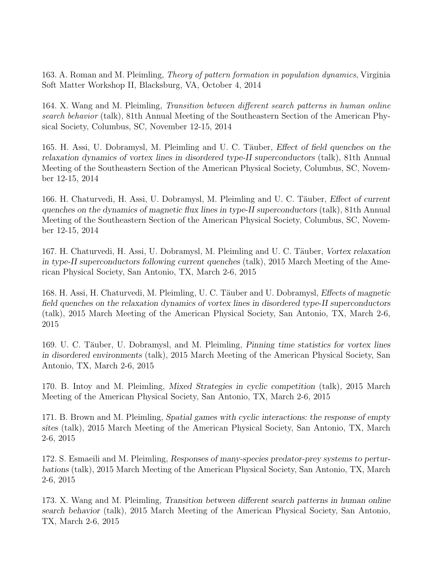163. A. Roman and M. Pleimling, Theory of pattern formation in population dynamics, Virginia Soft Matter Workshop II, Blacksburg, VA, October 4, 2014

164. X. Wang and M. Pleimling, Transition between different search patterns in human online search behavior (talk), 81th Annual Meeting of the Southeastern Section of the American Physical Society, Columbus, SC, November 12-15, 2014

165. H. Assi, U. Dobramysl, M. Pleimling and U. C. Täuber, *Effect of field quenches on the* relaxation dynamics of vortex lines in disordered type-II superconductors (talk), 81th Annual Meeting of the Southeastern Section of the American Physical Society, Columbus, SC, November 12-15, 2014

166. H. Chaturvedi, H. Assi, U. Dobramysl, M. Pleimling and U. C. Täuber, *Effect of current* quenches on the dynamics of magnetic flux lines in type-II superconductors (talk), 81th Annual Meeting of the Southeastern Section of the American Physical Society, Columbus, SC, November 12-15, 2014

167. H. Chaturvedi, H. Assi, U. Dobramysl, M. Pleimling and U. C. Täuber, Vortex relaxation in type-II superconductors following current quenches (talk), 2015 March Meeting of the American Physical Society, San Antonio, TX, March 2-6, 2015

168. H. Assi, H. Chaturvedi, M. Pleimling, U. C. Täuber and U. Dobramysl, *Effects of magnetic* field quenches on the relaxation dynamics of vortex lines in disordered type-II superconductors (talk), 2015 March Meeting of the American Physical Society, San Antonio, TX, March 2-6, 2015

169. U. C. Täuber, U. Dobramysl, and M. Pleimling, Pinning time statistics for vortex lines in disordered environments (talk), 2015 March Meeting of the American Physical Society, San Antonio, TX, March 2-6, 2015

170. B. Intoy and M. Pleimling, Mixed Strategies in cyclic competition (talk), 2015 March Meeting of the American Physical Society, San Antonio, TX, March 2-6, 2015

171. B. Brown and M. Pleimling, Spatial games with cyclic interactions: the response of empty sites (talk), 2015 March Meeting of the American Physical Society, San Antonio, TX, March 2-6, 2015

172. S. Esmaeili and M. Pleimling, Responses of many-species predator-prey systems to perturbations (talk), 2015 March Meeting of the American Physical Society, San Antonio, TX, March 2-6, 2015

173. X. Wang and M. Pleimling, Transition between different search patterns in human online search behavior (talk), 2015 March Meeting of the American Physical Society, San Antonio, TX, March 2-6, 2015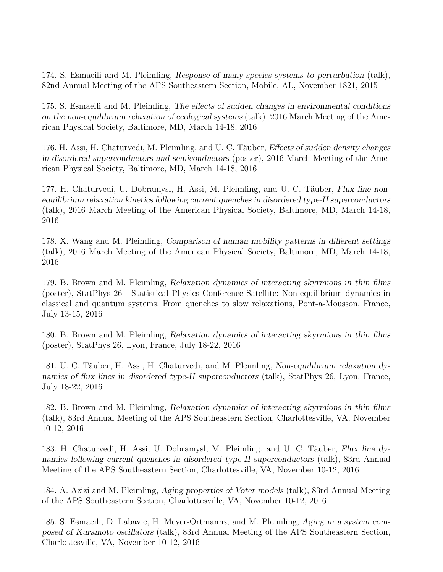174. S. Esmaeili and M. Pleimling, Response of many species systems to perturbation (talk), 82nd Annual Meeting of the APS Southeastern Section, Mobile, AL, November 1821, 2015

175. S. Esmaeili and M. Pleimling, The effects of sudden changes in environmental conditions on the non-equilibrium relaxation of ecological systems (talk), 2016 March Meeting of the American Physical Society, Baltimore, MD, March 14-18, 2016

176. H. Assi, H. Chaturvedi, M. Pleimling, and U. C. Täuber, *Effects of sudden density changes* in disordered superconductors and semiconductors (poster), 2016 March Meeting of the American Physical Society, Baltimore, MD, March 14-18, 2016

177. H. Chaturvedi, U. Dobramysl, H. Assi, M. Pleimling, and U. C. Täuber, Flux line nonequilibrium relaxation kinetics following current quenches in disordered type-II superconductors (talk), 2016 March Meeting of the American Physical Society, Baltimore, MD, March 14-18, 2016

178. X. Wang and M. Pleimling, Comparison of human mobility patterns in different settings (talk), 2016 March Meeting of the American Physical Society, Baltimore, MD, March 14-18, 2016

179. B. Brown and M. Pleimling, Relaxation dynamics of interacting skyrmions in thin films (poster), StatPhys 26 - Statistical Physics Conference Satellite: Non-equilibrium dynamics in classical and quantum systems: From quenches to slow relaxations, Pont-a-Mousson, France, July 13-15, 2016

180. B. Brown and M. Pleimling, Relaxation dynamics of interacting skyrmions in thin films (poster), StatPhys 26, Lyon, France, July 18-22, 2016

181. U. C. Täuber, H. Assi, H. Chaturvedi, and M. Pleimling, Non-equilibrium relaxation dynamics of flux lines in disordered type-II superconductors (talk), StatPhys 26, Lyon, France, July 18-22, 2016

182. B. Brown and M. Pleimling, Relaxation dynamics of interacting skyrmions in thin films (talk), 83rd Annual Meeting of the APS Southeastern Section, Charlottesville, VA, November 10-12, 2016

183. H. Chaturvedi, H. Assi, U. Dobramysl, M. Pleimling, and U. C. Täuber, Flux line dynamics following current quenches in disordered type-II superconductors (talk), 83rd Annual Meeting of the APS Southeastern Section, Charlottesville, VA, November 10-12, 2016

184. A. Azizi and M. Pleimling, Aging properties of Voter models (talk), 83rd Annual Meeting of the APS Southeastern Section, Charlottesville, VA, November 10-12, 2016

185. S. Esmaeili, D. Labavic, H. Meyer-Ortmanns, and M. Pleimling, Aging in a system composed of Kuramoto oscillators (talk), 83rd Annual Meeting of the APS Southeastern Section, Charlottesville, VA, November 10-12, 2016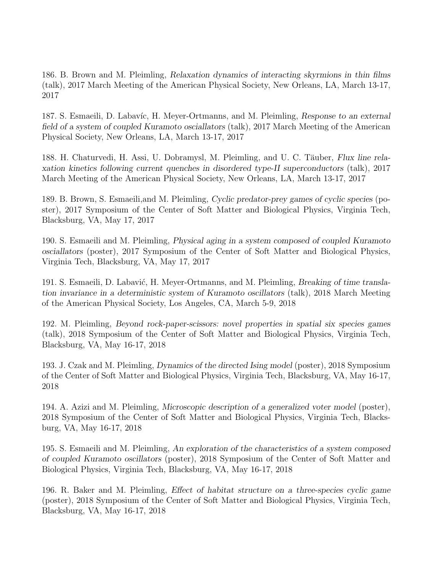186. B. Brown and M. Pleimling, Relaxation dynamics of interacting skyrmions in thin films (talk), 2017 March Meeting of the American Physical Society, New Orleans, LA, March 13-17, 2017

187. S. Esmaeili, D. Labavíc, H. Meyer-Ortmanns, and M. Pleimling, Response to an external field of a system of coupled Kuramoto osciallators (talk), 2017 March Meeting of the American Physical Society, New Orleans, LA, March 13-17, 2017

188. H. Chaturvedi, H. Assi, U. Dobramysl, M. Pleimling, and U. C. Täuber, Flux line relaxation kinetics following current quenches in disordered type-II superconductors (talk), 2017 March Meeting of the American Physical Society, New Orleans, LA, March 13-17, 2017

189. B. Brown, S. Esmaeili,and M. Pleimling, Cyclic predator-prey games of cyclic species (poster), 2017 Symposium of the Center of Soft Matter and Biological Physics, Virginia Tech, Blacksburg, VA, May 17, 2017

190. S. Esmaeili and M. Pleimling, Physical aging in a system composed of coupled Kuramoto osciallators (poster), 2017 Symposium of the Center of Soft Matter and Biological Physics, Virginia Tech, Blacksburg, VA, May 17, 2017

191. S. Esmaeili, D. Labavić, H. Meyer-Ortmanns, and M. Pleimling, *Breaking of time transla*tion invariance in a deterministic system of Kuramoto oscillators (talk), 2018 March Meeting of the American Physical Society, Los Angeles, CA, March 5-9, 2018

192. M. Pleimling, Beyond rock-paper-scissors: novel properties in spatial six species games (talk), 2018 Symposium of the Center of Soft Matter and Biological Physics, Virginia Tech, Blacksburg, VA, May 16-17, 2018

193. J. Czak and M. Pleimling, Dynamics of the directed Ising model (poster), 2018 Symposium of the Center of Soft Matter and Biological Physics, Virginia Tech, Blacksburg, VA, May 16-17, 2018

194. A. Azizi and M. Pleimling, Microscopic description of a generalized voter model (poster), 2018 Symposium of the Center of Soft Matter and Biological Physics, Virginia Tech, Blacksburg, VA, May 16-17, 2018

195. S. Esmaeili and M. Pleimling, An exploration of the characteristics of a system composed of coupled Kuramoto oscillators (poster), 2018 Symposium of the Center of Soft Matter and Biological Physics, Virginia Tech, Blacksburg, VA, May 16-17, 2018

196. R. Baker and M. Pleimling, Effect of habitat structure on a three-species cyclic game (poster), 2018 Symposium of the Center of Soft Matter and Biological Physics, Virginia Tech, Blacksburg, VA, May 16-17, 2018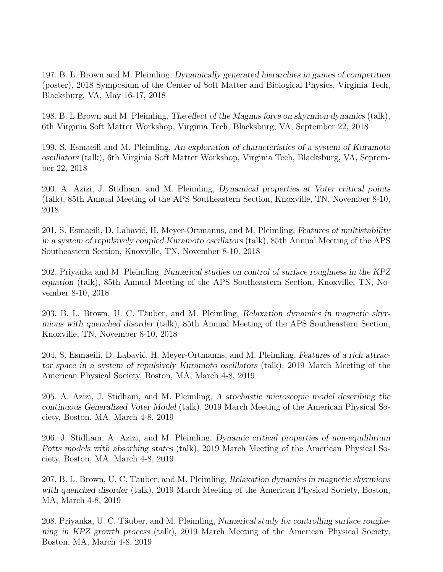197. B. L. Brown and M. Pleimling, Dynamically generated hierarchies in games of competition (poster), 2018 Symposium of the Center of Soft Matter and Biological Physics, Virginia Tech, Blacksburg, VA, May 16-17, 2018

198. B. L Brown and M. Pleimling, The effect of the Magnus force on skyrmion dynamics (talk), 6th Virginia Soft Matter Workshop, Virginia Tech, Blacksburg, VA, September 22, 2018

199. S. Esmaeili and M. Pleimling, An exploration of characteristics of a system of Kuramoto oscillators (talk), 6th Virginia Soft Matter Workshop, Virginia Tech, Blacksburg, VA, September 22, 2018

200. A. Azizi, J. Stidham, and M. Pleimling, Dynamical properties at Voter critical points (talk), 85th Annual Meeting of the APS Southeastern Section, Knoxville, TN, November 8-10, 2018

201. S. Esmaeili, D. Labavić, H. Meyer-Ortmanns, and M. Pleimling, Features of multistability in a system of repulsively coupled Kuramoto oscillators (talk), 85th Annual Meeting of the APS Southeastern Section, Knoxville, TN, November 8-10, 2018

202. Priyanka and M. Pleimling, Numerical studies on control of surface roughness in the KPZ equation (talk), 85th Annual Meeting of the APS Southeastern Section, Knoxville, TN, November 8-10, 2018

203. B. L. Brown, U. C. Täuber, and M. Pleimling, Relaxation dynamics in magnetic skyrmions with quenched disorder (talk), 85th Annual Meeting of the APS Southeastern Section, Knoxville, TN, November 8-10, 2018

204. S. Esmaeili, D. Labavić, H. Meyer-Ortmanns, and M. Pleimling, Features of a rich attractor space in a system of repulsively Kuramoto oscillators (talk), 2019 March Meeting of the American Physical Society, Boston, MA, March 4-8, 2019

205. A. Azizi, J. Stidham, and M. Pleimling, A stochastic microscopic model describing the continuous Generalized Voter Model (talk), 2019 March Meeting of the American Physical Society, Boston, MA, March 4-8, 2019

206. J. Stidham, A. Azizi, and M. Pleimling, Dynamic critical properties of non-equilibrium Potts models with absorbing states (talk), 2019 March Meeting of the American Physical Society, Boston, MA, March 4-8, 2019

207. B. L. Brown, U. C. Täuber, and M. Pleimling, Relaxation dynamics in magnetic skyrmions with quenched disorder (talk), 2019 March Meeting of the American Physical Society, Boston, MA, March 4-8, 2019

208. Priyanka, U. C. Täuber, and M. Pleimling, Numerical study for controlling surface roughening in KPZ growth process (talk), 2019 March Meeting of the American Physical Society, Boston, MA, March 4-8, 2019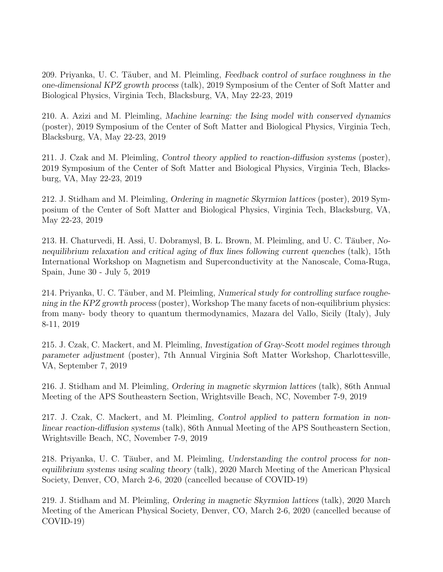209. Priyanka, U. C. Täuber, and M. Pleimling, Feedback control of surface roughness in the one-dimensional KPZ growth process (talk), 2019 Symposium of the Center of Soft Matter and Biological Physics, Virginia Tech, Blacksburg, VA, May 22-23, 2019

210. A. Azizi and M. Pleimling, Machine learning: the Ising model with conserved dynamics (poster), 2019 Symposium of the Center of Soft Matter and Biological Physics, Virginia Tech, Blacksburg, VA, May 22-23, 2019

211. J. Czak and M. Pleimling, Control theory applied to reaction-diffusion systems (poster), 2019 Symposium of the Center of Soft Matter and Biological Physics, Virginia Tech, Blacksburg, VA, May 22-23, 2019

212. J. Stidham and M. Pleimling, Ordering in magnetic Skyrmion lattices (poster), 2019 Symposium of the Center of Soft Matter and Biological Physics, Virginia Tech, Blacksburg, VA, May 22-23, 2019

213. H. Chaturvedi, H. Assi, U. Dobramysl, B. L. Brown, M. Pleimling, and U. C. Täuber, Nonequilibrium relaxation and critical aging of flux lines following current quenches (talk), 15th International Workshop on Magnetism and Superconductivity at the Nanoscale, Coma-Ruga, Spain, June 30 - July 5, 2019

214. Priyanka, U. C. Täuber, and M. Pleimling, Numerical study for controlling surface roughening in the KPZ growth process (poster), Workshop The many facets of non-equilibrium physics: from many- body theory to quantum thermodynamics, Mazara del Vallo, Sicily (Italy), July 8-11, 2019

215. J. Czak, C. Mackert, and M. Pleimling, Investigation of Gray-Scott model regimes through parameter adjustment (poster), 7th Annual Virginia Soft Matter Workshop, Charlottesville, VA, September 7, 2019

216. J. Stidham and M. Pleimling, Ordering in magnetic skyrmion lattices (talk), 86th Annual Meeting of the APS Southeastern Section, Wrightsville Beach, NC, November 7-9, 2019

217. J. Czak, C. Mackert, and M. Pleimling, Control applied to pattern formation in nonlinear reaction-diffusion systems (talk), 86th Annual Meeting of the APS Southeastern Section, Wrightsville Beach, NC, November 7-9, 2019

218. Priyanka, U. C. Täuber, and M. Pleimling, Understanding the control process for nonequilibrium systems using scaling theory (talk), 2020 March Meeting of the American Physical Society, Denver, CO, March 2-6, 2020 (cancelled because of COVID-19)

219. J. Stidham and M. Pleimling, Ordering in magnetic Skyrmion lattices (talk), 2020 March Meeting of the American Physical Society, Denver, CO, March 2-6, 2020 (cancelled because of COVID-19)